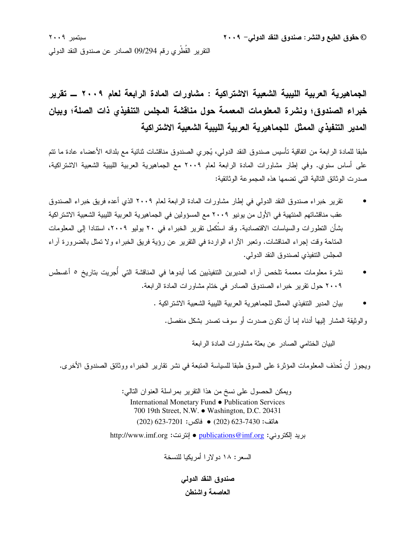© حقوق الطبع والنشر : صندوق النقد الدولي – ٢٠٠٩

سبتمبر ٢٠٠٩ النقرير القطري رقم 09/294 الصادر عن صندوق النقد الدولي

الجماهيرية العربية الليبية الشعبية الاشتراكية : مشاورات المادة الرابعة لعام ٢٠٠٩ ــ تقرير خبراء الصندوق؛ ونشرة المعلومات المعممة حول مناقشة المجلس التنفيذي ذات الصلة؛ وبيان المدير التنفيذي الممثل للجماهيرية العربية الليبية الشعبية الاشتراكية

طبقا للمادة الرابعة من اتفاقية تأسيس صندوق النقد الدولمي، يُجرى الصندوق مناقشات ثنائية مع بلدانه الأعضاء عادة ما نتم على أساس سنوي. وفي إطار مشاورات المادة الرابعة لعام ٢٠٠٩ مع الجماهيرية العربية الليبية الشعبية الاشتراكية، صدر ت الو ثائق التالية التي تضمها هذه المجمو عة الو ثائقية:

- تقرير خبر اء صندوق النقد الدولي في إطار مشاورات المادة الرابعة لعام ٢٠٠٩ الذي أعده فريق خبر اء الصندوق عقب مناقشاتهم المنتهية في الأول من يونيو ٢٠٠٩ مع المسؤولين في الجماهيرية العربية الليبية الشعبية الاشتراكية بشأن التطورات والسياسات الاقتصادية. وقد استُكمِل تقرير الخبراء في ٢٠ يوليو ٢٠٠٩، استنادا إلى المعلومات المناحة وقت إجراء المناقشات. وتعبر الأراء الواردة في النقرير عن رؤية فريق الخبراء ولا تمثل بالضرورة أراء المجلس النتفيذي لصندوق النقد الدولي.
- نشرة معلومات معممة تلخص آراء المديرين التتفيذيين كما أبدوها في المناقشة التي أجريت بتاريخ ٥ أغسطس ٢٠٠٩ حول نقرير خبراء الصندوق الصادر في ختام مشاورات المادة الرابعة.
	- بيان المدير التنفيذي الممثل للجماهيرية العربية الليبية الشعبية الاشتراكية .

والوثيقة المشار إليها أدناه إما أن نكون صدرت أو سوف نصدر بشكل منفصل.

البيان الختامي الصادر عن بعثة مشاورات المادة الرابعة

ويجوز أن تُحذف المعلومات المؤثرة على السوق طبقا للسياسة المتبعة في نشر نقارير الخبراء ووثائق الصندوق الأخرى.

ويمكن الحصول على نسخ من هذا النقرير بمراسلة العنوان التالبي: International Monetary Fund • Publication Services 700 19th Street, N.W. . Washington, D.C. 20431 هاتف: 7430-333 (202) ● فاكس: 7201-233 (202)

بريد الكتروني: p<u>ublications@imf.org</u> ● إنترنت: http://www.imf.org

السعر : ١٨ دو لار ا أمر يكيا للنسخة

صندوق النقد الدولي العاصمة واشنطن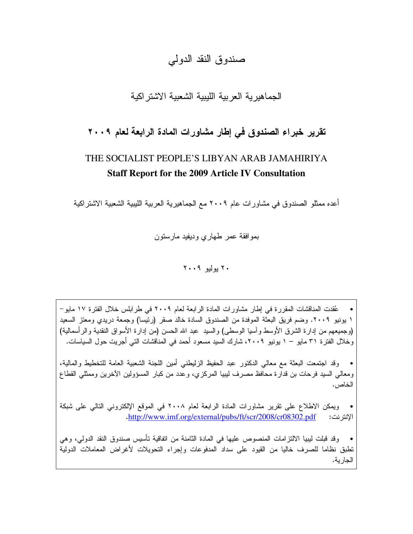## صندو ق النقد الدو لي

## الجماهبر بة العر ببة اللبببة الشعببة الاشتر اكبة

## تقرير خبراء الصندوق في إطار مشاورات المادة الرابعة لعام ٢٠٠٩

# THE SOCIALIST PEOPLE'S LIBYAN ARAB JAMAHIRIYA **Staff Report for the 2009 Article IV Consultation**

أعده ممثلو الصندوق في مشاورات عام ٢٠٠٩ مع الجماهيرية العربية الليبية الشعبية الاشتراكية

بمو افقة عمر طهاري وديفيد مارستون

 $Y \cdot \cdot 9$  بوليو  $Y \cdot$ 

عُقدت المناقشات المقررة في إطار مشاورات المادة الرابعة لعام ٢٠٠٩ في طرابلس خلال الفترة ١٧ مايو – ١ يونيو ٢٠٠٩. وضم فريق البعثة الموفدة من الصندوق السادة خالد صقر (رئيسا) وجمعة دريدي ومعتز السعيد (وجميعهم من إدارة الشرق الأوسط وأسيا الوسطى) والسيد عبد الله الحسن (من إدارة الأسواق النقدية والرأسمالية) وخلال الفترة ٣١ مايو – ١ يونيو ٢٠٠٩، شارك السيد مسعود أحمد في المناقشات التي أجريت حول السياسات.

وقد اجتمعت البعثة مع معالى الدكتور عبد الحفيظ الزليطني أمين اللجنة الشعبية العامة للتخطيط والمالية، ومعالى السيد فرحات بن قدارة محافظ مصرف ليبيا المركزي، وعدد من كبار المسؤولين الآخرين وممثلى القطاع الخاص.

ويمكن الاطلاع على نقرير مشاورات المادة الرابعة لعام ٢٠٠٨ في الموقع الإلكتروني التالي على شبكة الإنترنت: http://www.imf.org/external/pubs/ft/scr/2008/cr08302.pdf

وقد قبلت ليبيا الالتز إمات المنصوص عليها في المادة الثامنة من اتفاقية تأسيس صندوق النقد الدولي، وهي تطبق نظاما للصرف خاليا من القيود على سداد المدفوعات وإجراء التحويلات لأغراض المعاملات الدولية الجار ية.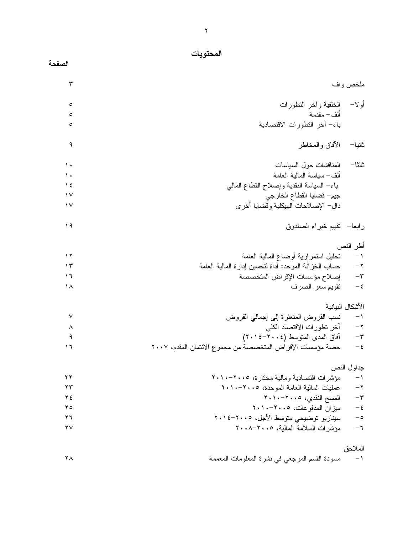الصفحة

| ٣             |                                                            | ملخص واف         |
|---------------|------------------------------------------------------------|------------------|
| ٥             | الخلفية وأخر التطورات                                      | أو لا–           |
| ٥             | ألف– مقدمة                                                 |                  |
| ٥             | باء– أخر النطورات الاقتصادية                               |                  |
| ٩             | الأفاق والمخاطر                                            | ثانيا–           |
| ١.            | المناقشات حول السياسات                                     | ثالثا–           |
| ١.            | ألف– سياسة المالية العامة                                  |                  |
| $\frac{1}{2}$ | باء– السياسة النقدية وإصلاح القطاع المالبي                 |                  |
| $\mathcal{N}$ | جيم– قضايا القطاع الخارجي                                  |                  |
| $\sqrt{}$     | دال– الإصلاحات الهيكلية وقضايا أخرى                        |                  |
| ۱۹            | رابعا– نقييم خبراء الصندوق                                 |                  |
|               |                                                            | أطر النص         |
| ۱۲            | تحليل استمرارية أوضاع المالية العامة                       | $-1$             |
| ۱۳            | حساب الخزانة الموحد: أداة لتحسين إدارة المالية العامة      | $-\tau$          |
| ۱٦            | إصلاح مؤسسات الإقراض المتخصصة                              | $-\tau$          |
| ۱۸            | تقويم سعر الصرف                                            | $-\,\xi$         |
|               |                                                            | الأشكال البيانية |
| ٧             | نسب القروض المتعثرة إلىي إجمالي القروض                     | $\rightarrow$    |
| ٨             | أخر نطورات الاقتصاد الكلبي                                 | $-\tau$          |
| ٩             | أفاق المدى المتوسط (٢٠٠٤-٢٠١٤)                             | $-\tau$          |
| ۱٦            | حصة مؤسسات الإقراض المتخصصة من مجموع الائتمان المقدم، ٢٠٠٧ | $-\xi$           |
|               |                                                            | جداول النص       |
| ۲۲            | مؤشرات اقتصادية ومالية مختارة، ٢٠١٠-٢٠١٠                   | $-1$             |
| $\mathbf{y}$  | عمليات المالية العامة الموحدة، ٢٠٠٥-٢٠١٠                   | $-\mathsf{Y}$    |
| ۲٤            | المسح النقدي، ٢٠٠٥-١٠١٠                                    | $-\tau$          |
| $\gamma$ 0    | ميزان المدفو عات، ٢٠٠٥-١٠١٠                                | $-\,\xi$         |
| ۲٦            | سيناريو توضيحي متوسط الأجل، ٢٠١٤–٢٠١٤                      | $-\circ$         |
| ۲۷            | مؤشرات السلامة المالية، ٢٠٠٥-٢٠٠٨                          | -٦               |
|               |                                                            | الملاحق          |
| ۲۸            | مسودة القسم المرجعي في نشرة المعلومات المعممة              | $-1$             |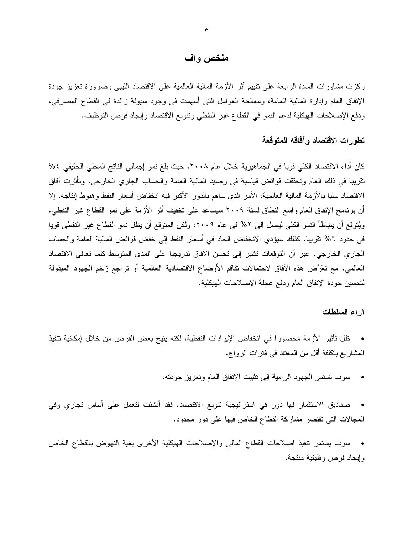#### ملخص واف

ركزت مشاورات المادة الرابعة على نقييم أثر الأزمة المالية العالمية على الاقتصاد الليبي وضرورة تعزيز جودة الإنفاق العام وإدارة المالية العامة، ومعالجة العوامل التي أسهمت في وجود سيولة زائدة في القطاع المصرفي، ودفع الإصلاحات الهيكلية لدعم النمو في القطاع غير النفطي ونتويع الاقتصاد وإيجاد فرص التوظيف.

## تطورات الاقتصاد وآفاقه المتوقعة

كان أداء الاقتصاد الكلي قويا في الجماهيرية خلال عام ٢٠٠٨، حيث بلغ نمو إجمالي الناتج المحلي الحقيقي ٤% نقريبا في ذلك العام وتحققت فوائض قياسية في رصيد المالية العامة والحساب الجاري الخارجي. وتأثرت آفاق الاقتصاد سلبا بالأزمة المالية العالمية، الأمر الذي ساهم بالدور الأكبر فيه انخفاض أسعار النفط وهبوط إنتاجه. إلا أن برنامج الإنفاق العام واسع النطاق لسنة ٢٠٠٩ سيساعد على تخفيف أثر الأزمة على نمو القطاع غير النفطي. ويُتوقع أن يتباطأ النمو الكلي ليصل إلى ٢% في عام ٢٠٠٩، ولكن المتوقع أن يظل نمو القطاع غير النفطي قويا في حدود ٢% نقريبا. كذلك سيؤدي الانخفاض الحاد في أسعار النفط إلى خفض فوائض المالية العامة والحساب الجاري الخارجي. غير أن التوقعات تشير إلى تحسن الآفاق تدريجيا على المدى المتوسط كلما تعافى الاقتصاد العالمي، مع تُعَرُّض هذه الآفاق لاحتمالات تفاقم الأوضاع الاقتصادية العالمية أو تراجع زخم الجهود المبذولة لتحسين جودة الإنفاق العام ودفع عجلة الإصلاحات الهيكلية.

#### آراء السلطات

- ظل تأثير الأزمة محصورا في انخفاض الإيرادات النفطية، لكنه يتيح بعض الفرص من خلال إمكانية تتفيذ المشاريع بتكلفة أقل من المعتاد في فترات الرواج.
	- سوف تستمر الجهود الرامية إلى تثبيت الإنفاق العام وتعزيز جودته.
- صناديق الاستثمار لها دور في استراتيجية نتويع الاقتصاد. فقد أنشئت لتعمل على أساس تجاري وفي المجالات التي تقتصر مشاركة القطاع الخاص فيها على دور محدود.
- سوف يستمر تنفيذ إصلاحات القطاع المالي والإصلاحات الهيكلية الأخرى بغية النهوض بالقطاع الخاص وإيجاد فرص وظيفية منتجة.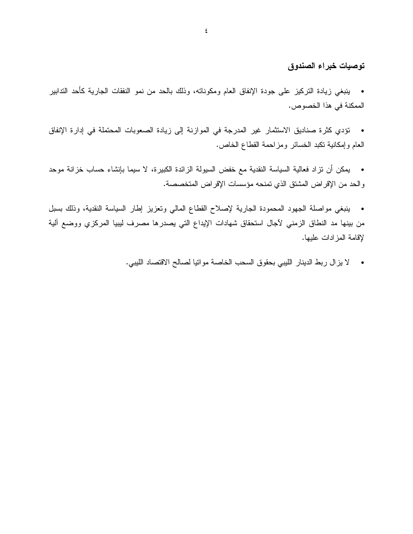### توصيات خبراء الصندوق

ينبغي زيادة التركيز على جودة الإنفاق العام ومكوناته، وذلك بالحد من نمو النفقات الجارية كأحد التدابير  $\bullet$ الممكنة في هذا الخصوص.

- تؤدي كثرة صناديق الاستثمار غير المدرجة في الموازنة إلى زيادة الصعوبات المحتملة في إدارة الإنفاق العام وإمكانية نكبد الخسائر ومزاحمة القطاع الخاص.
- يمكن أن نزاد فعالية السياسة النقدية مع خفض السيولة الزائدة الكبيرة، لا سيما بإنشاء حساب خزانة موحد والحد من الإقراض المشتق الذي تمنحه مؤسسات الإقراض المتخصصة.
- ينبغى مواصلة الجهود المحمودة الجارية لإصلاح القطاع المالبي ونعزيز إطار السياسة النقدية، وذلك بسبل  $\bullet$ من بينها مد النطاق الزمني لأجال استحقاق شهادات الإيداع التي يصدرها مصرف ليبيا المركزي ووضع ألية لإقامة المز ادات عليها.
	- لا يز ال ربط الدينار الليبي بحقوق السحب الخاصة مواتيا لصالح الاقتصاد الليبي.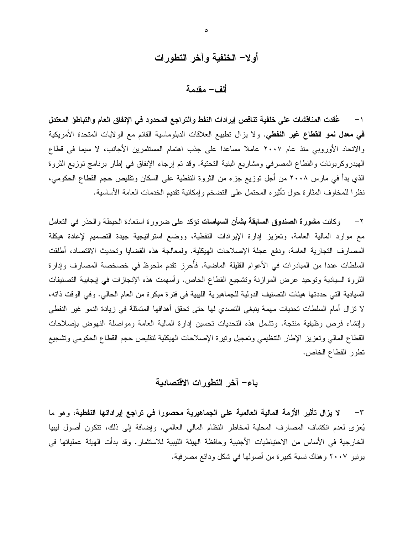## أولا– الخلفية وآخر التطورات

ألف– مقدمة

١– عُقدت المناقشات على خلفية تناقص إيرادات النفط والتراجع المحدود في الإنفاق العام والتباطؤ المعتدل في معدل نمو القطاع غير النفطي. ولا يزال نطبيع العلاقات الدبلوماسية القائم مع الولايات المتحدة الأمريكية والاتحاد الأوروبي منذ عام ٢٠٠٧ عاملاً مساعدًا على جذب اهتمام المستثمرين الأجانب، لا سيما في قطاع الهيدروكربونات والقطاع المصرفي ومشاريع البنية التحتية. وقد تم إرجاء الإنفاق في إطار برنامج توزيع الثروة الذي بدأ في مارس ٢٠٠٨ من أجل توزيع جزء من الثروة النفطية على السكان وتقليص حجم القطاع الحكومي، نظرا للمخاوف المثارة حول تأثيره المحتمل على التضخم وإمكانية تقديم الخدمات العامة الأساسية.

٢− وكانت مشورة الصندوق السابقة بشأن السياسات تؤكد على ضرورة استعادة الحيطة والحذر في التعامل مع موارد المالية العامة، وتعزيز إدارة الإيرادات النفطية، ووضع استرانيجية جيدة التصميم لإعادة هيكلة المصارف التجارية العامة، ودفع عجلة الإصلاحات الهيكلية. ولمعالجة هذه القضايا وتحديث الاقتصاد، أطلقت السلطات عددا من المبادرات في الأعوام القليلة الماضية. فأُحرز تقدم ملحوظ في خصخصة المصارف وإدارة الثروة السيادية ونوحيد عرض الموازنة وتشجيع القطاع الخاص. وأسهمت هذه الإنجازات في إيجابية التصنيفات السيادية التي حددتها هيئات التصنيف الدولية للجماهيرية الليبية في فترة مبكرة من العام الحالي. وفي الوقت ذاته، لا نزال أمام السلطات تحديات مهمة ينبغي التصدي لها حتى تحقق أهدافها المتمثلة في زيادة النمو غير النفطي وإنشاء فرص وظيفية منتجة. ونتثمل هذه التحديات نحسين إدارة المالية العامة ومواصلة النهوض بإصلاحات القطاع المالبي وتعزيز الإطار النتظيمي وتعجيل ونيرة الإصلاحات الهيكلية لنقليص حجم القطاع الحكومي ونشجيع نطور القطاع الخاص.

### باء– آخر التطورات الاقتصادية

٣– لا يزال تأثير الأزمة المالية العالمية على الجماهيرية محصورا في تراجع إيراداتها النفطية، وهو ما يُعزى لعدم انكشاف المصارف المحلية لمخاطر النظام المالي العالمي. وإضافة إلى ذلك، نتكون أصول ليبيا الخارجية في الأساس من الاحتياطيات الأجنبية وحافظة الهيئة الليبية للاستثمار. وقد بدأت الهيئة عملياتها في يونيو ٢٠٠٧ و هناك نسبة كبير ة من أصولها في شكل و دائع مصر فية.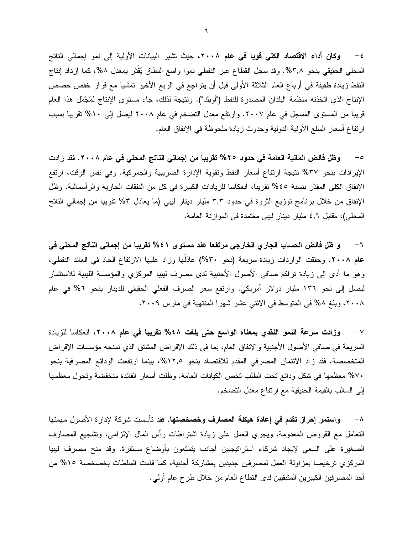٤ – وكان أداء الاقتصاد الكلي قويا في عام ٢٠٠٨، حيث تشير البيانات الأولية إلى نمو إجمالي الناتج المُعلِّي الْحَقِيقي بنحو ٣,٨%. وقد سجل القطاع غير النفطي نموا واسع النطاق يُقدَّر بمعدل ٨%، كما ازداد إنتاج النفط زيادة طفيفة في أرباع العام الثلاثة الأولى قبل أن يتراجع في الربع الأخير تمشيا مع قرار خفض حصص الإنتاج الذي اتخذته منظمة البلدان المصدرة للنفط ("أوبك"). وننتيجة لذلك، جاء مستوى الإنتاج لمُجْمَل هذا العام قريبا من المستوى المسجل في عام ٢٠٠٧. وارتفع معدل التضخم في عام ٢٠٠٨ ليصل إلى ٥١٠% تقريبا بسبب ارنفاع أسعار السلع الأولية الدولية وحدوث زيادة ملحوظة في الإنفاق العام.

وظل فائض المالية العامة في حدود ٢٥% تقريبا من إجمالي الناتج المحلي في عام ٢٠٠٨. فقد زادت  $-\circ$ الإيرادات بنحو ٣٧% نتيجة ارتفاع أسعار النفط وتقوية الإدارة الضريبية والجمركية. وفي نفس الوقت، ارتفع الإنفاق الكلَّى المقدَّر بنسبة ٤٥% نقريبا، انعكاسا للزيادات الكبيرة في كلِّ من النفقات الجارية والرأسمالية. وظل الإنفاق من خلال برنامج توزيع الثروة في حدود ٣٫٣ مليار دينار ليبي (ما يعادل ٥٣% تقريبا من إجمالي الناتج المحلي)، مقابل ٤,٦ مليار دينار ليبي معتمدة في الموازنة العامة.

و ظل فائض الحساب الجاري الخارجي مرتفعا عند مستوى ٤١% تقريبا من إجمالي الناتج المحلي في  $-7$ عام ٢٠٠٨. وحققت الواردات زيادة سريعة (نحو ٣٠%) عادلها وزاد عليها الارتفاع الحاد في العائد النفطي، وهو ما أدى إلى زيادة نراكم صافى الأصول الأجنبية لدى مصرف ليبيا المركزي والمؤسسة الليبية للاستثمار ليصل إلى نحو ١٣٦ مليار دولار أمريكي. وارتفع سعر الصرف الفعلي الحقيقي للدينار بنحو ٢% في عام ٢٠٠٨، وبلغ ٥٨ في المتوسط في الاثني عشر شهرا المنتهية في مارس ٢٠٠٩.

وزادت سرعة النمو النقدي بمعناه الواسع حتى بلغت ٤٨% تقريبا في عام ٢٠٠٨، انعكاسا للزيادة  $-\vee$ السريعة في صافي الأصول الأجنبية والإنفاق العام، بما في ذلك الإقراض المشتق الذي تمنحه مؤسسات الإقراض المتخصصة. فقد زاد الائتمان المصرفي المقدم للاقتصاد بنحو ١٢٫٥%، بينما ارتفعت الودائع المصرفية بنحو ٧٠% معظمها في شكل ودائع نحت الطلب نخص الكيانات العامة. وظلت أسعار الفائدة منخفضة ونحول معظمها إلى السالب بالقيمة الحقيقية مع ارتفاع معدل التضخم.

٨– وا**ستمر إحراز تقدم في إعادة هيكلة المصارف وخصخصتها.** فقد تأسست شركة لإدارة الأصول مهمتها النعامل مع القروض المعدومة، ويجري العمل على زيادة اشتراطات رأس المال الإلزامي، ونشجيع المصارف الصغيرة على السعى لإيجاد شركاء استراتيجيين أجانب يتمتعون بأوضاع مستقرة. وقد منح مصرف ليبيا المركزي ترخيصا بمزاولة العمل لمصرفين جديدين بمشاركة أجنبية، كما قامت السلطات بخصخصة ١٥% من أحد المصرفين الكبيرين المنبقيين لدى القطاع العام من خلال طرح عام أولى.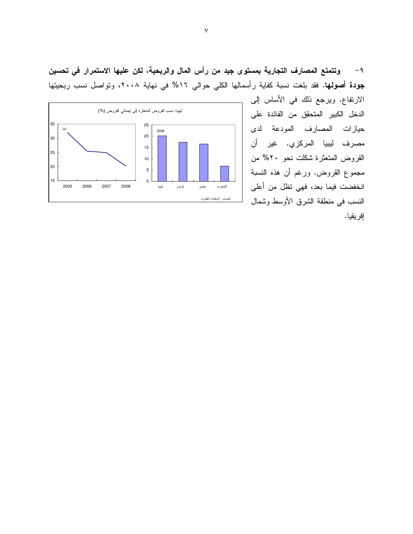وتتمتع المصارف التجارية بمستوى جيد من رأس المال والربحية، لكن عليها الاستمرار في تحسين  $-9$ جودة أصولها. فقد بلغت نسبة كفاية رأسمالها الكلي حوالي ١٦% في نهاية ٢٠٠٨، وتواصل نسب ربحيتها



الارتفاع. ويرجع ذلك في الأساس إلى الدخل الكبير المتحقق من الفائدة على حيازات المصارف المودعة لدى مصرف ليبيا المركزي. غير أن القروض المتعثرة شكلت نحو ٢٠% من مجموع القروض. ورغم أن هذه النسبة انخفضت فيما بعد، فهي نظل من أعلى النسب في منطقة الشرق الأوسط وشمال إفريقيا.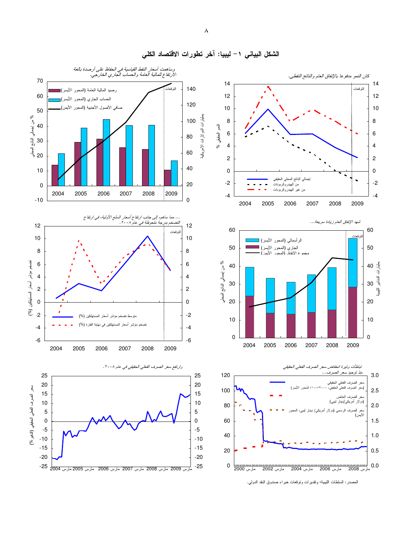

الشكل البيان*ي ٦* – ليبيا: أخر تطورات الاقتصاد الكل*ي*<br>.

 $\lambda$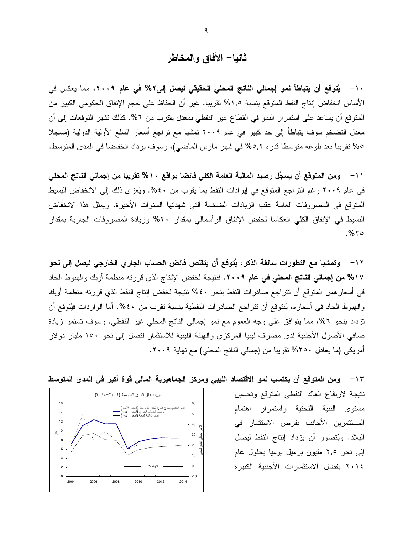# ثانيا– الآفاق والمخاطر

١٠– يُتوقع أن يتباطأ نمو إجمالي الناتج المحلي الحقيقي ليصل إلى٢% في عام ٢٠٠٩، مما يعكس في الأساس انخفاض إنتاج النفط المتوقع بنسبة ١,٥% تقريبا. غير أن الحفاظ على حجم الإنفاق الحكومي الكبير من المتوقع أن يساعد على استمرار النمو في القطاع غير النفطي بمعدل يقترب من ٦%. كذلك تشير التوقعات إلى أن معدل التضخم سوف يتباطأ إلى حد كبير في عام ٢٠٠٩ تمشيا مع نراجع أسعار السلع الأولية الدولية (مسجلا ٥% نقريبا بعد بلوغه متوسطا قدره ٥,٢% في شهر مارس الماضي)، وسوف يزداد انخفاضا في المدى المتوسط.

١١– ومن المتوقع أن يسجِّل رصيد المالية العامة الكلى فائضا بواقع ١٠% تقريبا من إجمالى الناتج المحلى في عام ٢٠٠٩ رغم التراجع المتوقع في إيرادات النفط بما يقرب من ٤٠%. ويُعزى ذلك إلى الانخفاض البسيط المتوقع في المصروفات العامة عقب الزيادات الضخمة التي شهدتها السنوات الأخيرة. ويمثل هذا الانخفاض البسيط في الإنفاق الكلي انعكاسا لخفض الإنفاق الرأسمالي بمقدار ٢٠% وزيادة المصروفات الجارية بمقدار  $. % \sigma$ 

1۲ – وتمشيا مع التطورات سالفة الذكر ، يُتوقع أن يتقلص فائض الحساب الجارى الخارجي ليصل إلى نحو ١٧% من إجمالي الناتج المحلي في عام ٢٠٠٩. فنتيجة لخفض الإنتاج الذي قررته منظمة أوبك والهبوط الحاد في أسعار همن المتوقع أن نتر لجع صادر ات النفط بنحو ٤٠% نتيجة لخفض إنتاج النفط الذي قررته منظمة أوبك والهبوط الحاد في أسعاره، يُنتوقع أن نتراجع الصادرات النفطية بنسبة نقرب من ٤٠%. أما الواردات فيُتوقع أن نزداد بنحو ٢%، مما يتوافق على وجه العموم مع نمو إجمالي الناتج المحلي غير النفطي. وسوف تستمر زيادة صافي الأصول الأجنبية لدى مصرف ليبيا المركزي والهيئة الليبية للاستثمار لتصل إلى نحو ١٥٠ مليار دولار أمريكي (ما يعادل ٢٥٠% نقريبا من إجمالي الناتج المحلي) مع نهاية ٢٠٠٩.



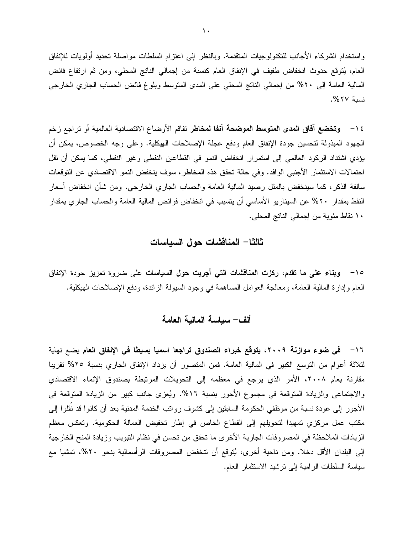و استخدام الشركاء الأجانب للنكنولوجيات المتقدمة. وبالنظر إلى اعتز ام السلطات مو اصلة تحديد أولويات للإنفاق العام، يُتوقع حدوث انخفاض طفيف في الإنفاق العام كنسبة من إجمالي الناتج المحلي، ومن ثم ارتفاع فائض المالية العامة إلى ٢٠% من إجمالي الناتج المحلي على المدى المتوسط وبلوغ فائض الحساب الجاري الخارجي نسبة ٢٧%.

1 < − وتخضع آفاق المدى المتوسط الموضحة آنفا لمخاطر تفاقم الأوضاع الاقتصادية العالمية أو تراجع زخم الجهود المبذولة لتحسين جودة الإنفاق العام ودفع عجلة الإصلاحات الهيكلية. وعلى وجه الخصوص، يمكن أن يؤدي اشتداد الركود العالمي إلى استمرار انخفاض النمو في القطاعين النفطي وغير النفطي، كما يمكن أن نقل احتمالات الاستثمار الأجنبي الوافد. وفي حالة تحقق هذه المخاطر، سوف ينخفض النمو الاقتصادي عن التوقعات سالفة الذكر ، كما سينخفض بالمثل رصيد المالية العامة والحساب الجاري الخارجي. ومن شأن انخفاض أسعار النفط بمقدار ٢٠% عن السيناريو الأساسي أن يتسبب في انخفاض فوائض المالية العامة والحساب الجاري بمقدار ١٠ نقاط مئوية من إجمالي الناتج المحلي.

#### ثالثا– المناقشات حول السباسات

10− وبناء على ما تقدم، ركزت المناقشات التي أجريت حول السياسات على ضروة تعزيز جودة الإنفاق العام وإدارة المالية العامة، ومعالجة العوامل المساهمة في وجود السيولة الزائدة، ودفع الإصلاحات الهيكلية.

#### ألف– سباسة المالبة العامة

١٦ – في ضوع موازنة ٢٠٠٩، يتوقع خبراء الصندوق تراجعا اسميا بسيطا في الإنفاق العام يضع نهاية لثلاثة أعوام من التوسع الكبير في المالية العامة. فمن المتصور أن يزداد الإنفاق الجاري بنسبة ٢٥% تقريبا مقارنة بعام ٢٠٠٨، الأمر الذي يرجع في معظمه إلى التحويلات المرتبطة بصندوق الإنماء الاقتصادي والاجتماعي والزيادة المتوقعة في مجموع الأجور بنسبة ١٦%. ويُعزى جانب كبير من الزيادة المتوقعة في الأجور إلى عودة نسبة من موظفى الحكومة السابقين إلى كشوف روانب الخدمة المدنية بعد أن كانوا قد نقلوا إلى مكتب عمل مركزي تمهيدا لتحويلهم إلى القطاع الخاص في إطار تخفيض العمالة الحكومية. وتعكس معظم الزيادات الملاحظة في المصروفات الجارية الأخرى ما تحقق من تحسن في نظام التبويب وزيادة المنح الخارجية إلى البلدان الأقل دخلا. ومن ناحية أخرى، يُتوقع أن نتخفض المصروفات الرأسمالية بنحو ٢٠%، تمشيا مع سياسة السلطات الرامية إلى نرشيد الاستثمار العام.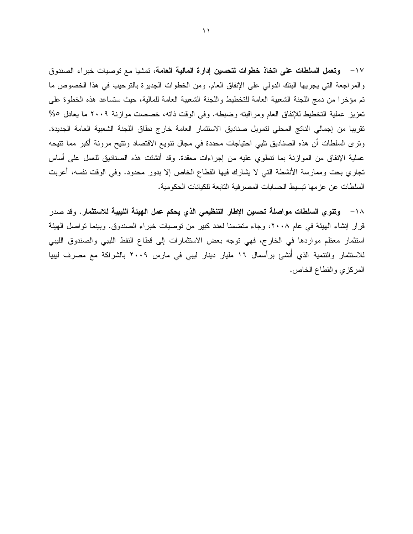17 – وتعمل السلطات على اتخاذ خطوات لتحسين إدارة المالية العامة، تمشيا مع توصيات خبراء الصندوق والمراجعة التي يجريها البنك الدولي على الإنفاق العام. ومن الخطوات الجديرة بالترحيب في هذا الخصوص ما تم مؤخرًا من دمج اللجنة الشعبية العامة للتخطيط واللجنة الشعبية العامة للمالية، حيث ستساعد هذه الخطوة على تعزيز عملية التخطيط للإنفاق العام ومراقبته وضبطه. وفي الوقت ذاته، خصصت موازنة ٢٠٠٩ ما يعادل ٥% تقريبا من إجمالي الناتج المحلي لتمويل صناديق الاستثمار العامة خارج نطاق اللجنة الشعبية العامة الجديدة. وترى السلطات أن هذه الصناديق تلبي احتياجات محددة في مجال نتويع الاقتصاد ونتيح مرونة أكبر مما نتيحه عملية الإنفاق من الموازنة بما نتطوي عليه من إجراءات معقدة. وقد أنشئت هذه الصناديق للعمل على أساس تجاري بحت وممارسة الأنشطة التي لا يشارك فيها القطاع الخاص إلا بدور محدود. وفي الوقت نفسه، أعربت السلطات عن عزمها نبسيط الحسابات المصرفية التابعة للكيانات الحكومية.

× ١ − وتنوى السلطات مواصلة تحسين الإطار التنظيمي الذي يحكم عمل الهيئة الليبية للاستثمار. وقد صدر قرار إنشاء الهيئة في عام ٢٠٠٨، وجاء متضمنا لعدد كبير من توصيات خبراء الصندوق. وبينما تواصل الهيئة استثمار معظم مواردها في الخارج، فهي نوجه بعض الاستثمارات إلى قطاع النفط الليبي والصندوق الليبي للاستثمار والتتمية الذي أُنشئ برأسمال ١٦ مليار دينار ليبي في مارس ٢٠٠٩ بالشراكة مع مصرف ليبيا المركزي والقطاع الخاص.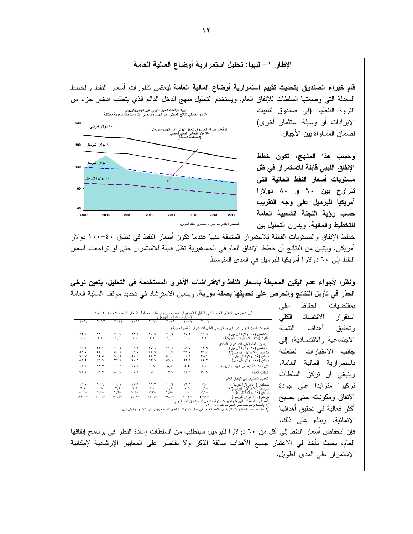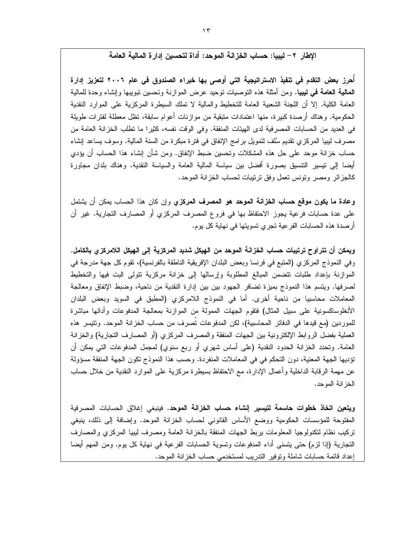#### الإطار. ٢ – لببيا: حساب الخز انـة الموحد: أداة لتحسين إدار ة الماليـة الـعامـة

أحرز بعض التقدم في تنفيذ الاستراتيجية التي أوصى بها خبراء الصندوق في عام ٢٠٠٦ لتعزيز إدارة **المالية العامة في ليبيا.** ومن أمثلة هذه التوصيات توحيد عرض الموازنة وتحسين تبويبها وإنشاء وحدة للمالية العامة الكلية. إلا أن اللجنة الشعبية العامة للتخطيط والمالية لا تملك السيطرة المركزية على الموارد النقدية الحكومية. وهناك أرصدة كبيرة، منها اعتمادات متبقية من موازنات أعوام سابقة، نظل معطلة لفترات طويلة في العديد من الحسابات المصرفية لدى الهيئات المنفقة. وفي الوقت نفسه، كثيرًا ما نطلب الخزانة العامة من مصرف ليبيا المركزي نقديم سُلف لنمويل برامج الإنفاق في فترة مبكرة من السنة المالية. وسوف يساعد إنشاء حساب خزانة موحد على حل هذه المشكلات وتحسين ضبط الإنفاق. ومن شأن إنشاء هذا الحساب أن بؤدي أيضا إلى نيسير النتسيق بصورة أفضل بين سياسة المالية العامة والسياسة النقدية. وهناك بلدان مجاورة كالجزائر ومصر ونونس نعمل وفق نرنيبات لحساب الخزانة الموحد.

**وعادة ما يكون موقع حساب الخزانة الموحد هو المصرف المركزي** وإن كان هذا الحساب يمكن أن يشتمل على عدة حسابات فرعية يجوز الاحتفاظ بها في فروع المصرف المركزي أو المصارف التجارية. غير أن أرصدة هذه الحسابات الفر عية تجرى تسويتها في نهاية كل يوم.

ويمكن أن تتراوح ترتيبات حساب الخزانة الموحد من الهيكل شديد المركزية إلى الهيكل اللامركز ي بالكامل. وفي النموذج المركزي (المتبع في فرنسا وبعض البلدان الإفريقية الناطقة بالفرنسية)، تقوم كل جهة مدرجة في الموازنة بإعداد طلبات نتضمن المبالغ المطلوبة وإرسالها إلى خزانة مركزية نتولى البت فيها والتخطيط لصرفها. ويتسم هذا النموذج بميزة تضافر الجهود بين بين إدارة النقدية من ناحية، وضبط الإنفاق ومعالجة المعاملات محاسبيا من ناحية أخرى. أما في النموذج اللامركزي (المطبق في السويد وبعض البلدان الأنغلوساكسونية على سبيل المثال) فتقوم الجهات الممولة من الموازنة بمعالجة المدفوعات وأدائها مباشرة للموردين (مع قيدها في الدفاتر المحاسبية)، لكن المدفوعات تصرف من حساب الخزانة الموحد. وتتيسر هذه العملية بفضل الروابط الإلكترونية بين الجهات المنفقة والمصرف المركزي (أو المصارف النجارية) والخزانة العامة. وتحدد الخزانة الحدود النقدية (على أساس شهري أو ربع سنوي) لمجمل المدفوعات التي يمكن أن نؤديها الجهة المعنية، دون التحكم في في المعاملات المنفردة. وحسب هذا النموذج نكون الجهة المنفقة مسؤولة عن مهمة الرقابة الداخلية وأعمال الإدارة، مع الاحتفاظ بسيطرة مركزية على الموارد النقدية من خلال حساب الخزانة الموحد.

**ويتعين اتخاذ خطوات حاسمة لتيسير إنشاء حساب الخزانة الموحد.** فينبغى إغلاق الحسابات المصرفية المفتوحة للمؤسسات الحكومية ووضع الأساس القانوني لحساب الخزانة الموحد. وإضافة إلى ذلك، ينبغي نركيب نظام لنكنولوجيا المعلومات بربط الجهات المنفقة بالخزانة العامة ومصرف ليبيا المركزي والمصارف النجارية (إذا لزم) حتى يتسنى أداء المدفوعات ونسوية الحسابات الفرعية في نهاية كل بوم. ومن المهم أيضا إعداد قائمة حسابات شاملة وتوفير التدريب لمستخدمي حساب الخزانة الموحد.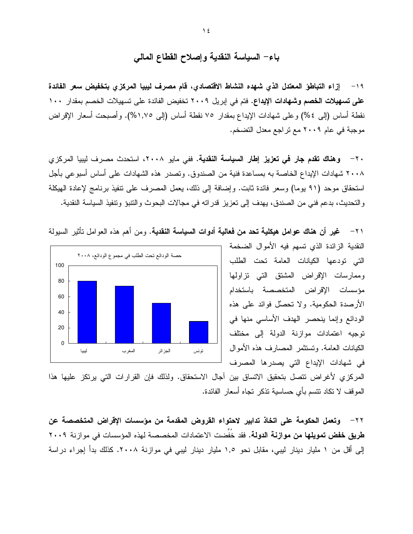باء– السياسة النقدية وإصلاح القطاع المالى

١٩- إزاء التباطؤ المعتدل الذي شهده النشاط الاقتصادي، قام مصرف لببيا المركزي بتخفيض سعر الفائدة على تسهيلات الخصم وشهادات الإيداع. فتم في إبريل ٢٠٠٩ تخفيض الفائدة على تسهيلات الخصم بمقدار ١٠٠ نقطة أساس (إلى ٤%) وعلى شهادات الإيداع بمقدار ٧٥ نقطة أساس (إلى ١,٧٥%). وأصبحت أسعار الإقراض موجبة في عام ٢٠٠٩ مع تراجع معدل التضخم.

٢٠ – وهناك تقدم جار في تعزيز إطار السياسة النقدية. ففي مايو ٢٠٠٨، استحدث مصرف ليبيا المركزي ٢٠٠٨ شهادات الإيداع الخاصة به بمساعدة فنية من الصندوق. وتصدر هذه الشهادات على أساس أسبوعي بأجل استحقاق موحد (٩١ يوما) وسعر فائدة ثابت. وإضافة إلى ذلك، يعمل المصرف على نتفيذ برنامج لإعادة الهيكلة والتحديث، بدعم فني من الصندق، يهدف إلى تعزيز قدراته في مجالات البحوث والنتبؤ وتتفيذ السياسة النقدية.



٢١ – غير أن هناك عوامل هيكلية تحد من فعالية أدوات السياسة النقدية. ومن أهم هذه العوامل تأثير السيولة

النقدية الزائدة الذي تسهم فيه الأموال الضخمة التي تودعها الكيانات العامة تحت الطلب وممارسات الإقراض المشتق التى نزاولها مؤسسات الإقراض المتخصصة باستخدام الأرصدة الحكومية. ولا تحصَّل فوائد على هذه الودائع وإنما بنحصر الهدف الأساسي منها في توجيه اعتمادات موازنة الدولة إلى مختلف الكيانات العامة. وتستثمر المصارف هذه الأموال في شهادات الإيداع التي يصدرها المصرف

المركزي لأغراض نتصل بتحقيق الاتساق بين آجال الاستحقاق. ولذلك فإن القرارات التي يرتكز عليها هذا الموقف لا نكاد نتسم بأي حساسية نذكر نجاه أسعار الفائدة.

٢٢ - وتعمل الحكومة على اتخاذ تدابير لاحتواء القروض المقدمة من مؤسسات الإقراض المتخصصة عن **طريق خفض تمويلها من موازنة الدولة.** فقد خُفِّضت الاعتمادات المخصصة لهذه المؤسسات في موازنة ٢٠٠٩ إلى أقل من ١ مليار دينار ليبي، مقابل نحو ١,٥ مليار دينار ليبي في موازنة ٢٠٠٨. كذلك بدأ إجراء دراسة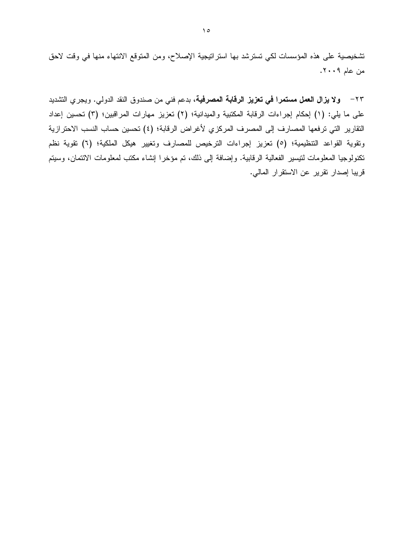تشخيصية على هذه المؤسسات لكي تسترشد بها استراتيجية الإصلاح، ومن المتوقع الانتهاء منها في وقت لاحق من عام ٢٠٠٩.

٢٣ – ولا **يزال العمل مستمرا في تعزيز الرقابة المصرفية**، بدعم فني من صندوق النقد الدولي. ويجري التشديد على ما يلي: (١) إحكام إجراءات الرقابة المكتبية والميدانية؛ (٢) تعزيز مهارات المراقبين؛ (٣) تحسين إعداد التقارير التي ترفعها المصارف إلى المصرف المركزي لأغراض الرقابة؛ (٤) تحسين حساب النسب الاحترازية ونقوية القواعد التنظيمية؛ (٥) تعزيز إجراءات الترخيص للمصارف وتغيير هيكل الملكية؛ (٦) نقوية نظم نكنولوجيا المعلومات لنيسير الفعالية الرقابية. وإضافة إلى ذلك، تم مؤخرا إنشاء مكتب لمعلومات الائتمان، وسيتم قريبا إصدار تقرير عن الاستقرار المالي.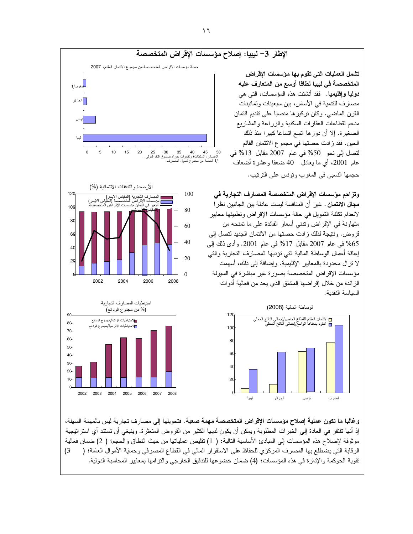

وغالبا ما تكون عملية إصلاح مؤسسات الإقراض المتخصصة مهمة صعبة . فتحويلها إلى مصارف تجارية ليس بالمهمة السهلة، إذ أنها تفتقر في العادة إلى الخبرات المطلوبة ويمكن أن يكون لديها الكثير من القروض المتعثرة. وينبغي أن تستتد أي استراتيجية موثوقة لإصلاح هذه المؤسسات إلى المبادئ الأساسية التالية: ( 1) نقليص عملياتها من حيث النطاق والحجم؛ ( 2) ضمان فعالية الرقابة التي يضطلع بها المصرف المركزي للحفاظ على الاستقرار المالي في القطاع المصرفي وحماية الأموال العامة؛ ( 3) تقوية الحوكمة والإدارة في هذه المؤسسات؛ (4) ضمان خضو عها للتدقيق الخارجي والتز امها بمعايير المحاسبة الدولية.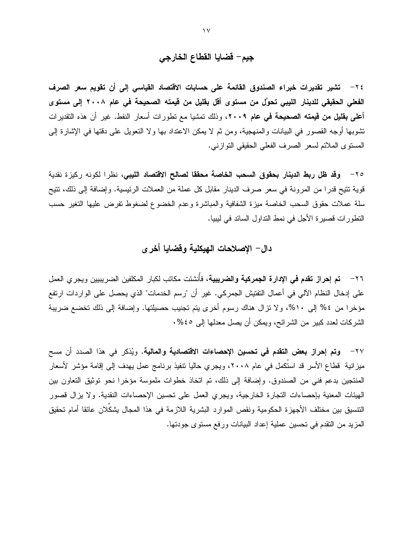# جيم– قضايا القطاع الخارجي

٢٤ – تشير تقديرات خبراء الصندوق القائمة على حسابات الاقتصاد القياسي إلى أن تقويم سعر الصرف الفعلى الحقيقي للدينار الليبي تحوَّل من مستوى أقل بقليل من قيمته الصحيحة في عام ٢٠٠٨ إلى مستوى أعلى بقليل من قيمته الصحيحة في عام ٢٠٠٩، وذلك تمشيا مع تطورات أسعار النفط. غير أن هذه التقديرات تشوبها أوجه القصور في البيانات والمنهجية، ومن ثم لا يمكن الاعتداد بها ولا النعويل على دقتها في الإشارة إلى المستوى الملائم لسعر الصرف الفعلى الحقيقى التوازني.

٢٥ – وقد ظل ربط الدينار بحقوق السحب الخاصة محققا لصالح الاقتصاد الليبي، نظرا لكونه ركيزة نقدية قوية نتيح قدرًا من المرونة في سعر صرف الدينار مقابل كل عملة من العملات الرئيسية. وإضافة إلى ذلك، نتيح سلة عملات حقوق السحب الخاصة ميزة الشفافية والمباشرة وعدم الخضوع لضغوط نفرض عليها التغير حسب النطورات فصيرة الأجل في نمط النداول السائد في ليبيا.

### دال– الإصلاحات الـهيكلية وقضايا أخرى

٢٦ – تم إ**حراز تقدم في الإدارة الجمركية والضريبية**، فأُنشئت مكاتب لكبار المكلفين الضريبيين ويجر ي العمل على إدخال النظام الآلي في أعمال التفتيش الجمركي. غير أن "رسم الخدمات" الذي يحصل على الواردات ارتفع مؤخرا من ٤% إلى ١٠%، ولا نزال هناك رسوم أخرى يتم تجنيب حصيلتها. وإضافة إلى ذلك تخضع ضريبة الشركات لعدد كبير من الشرائح، ويمكن أن يصل معدلها إلى ٤٥%.

٢٧– وتم إحراز بعض التقدم في تحسين الإحصاءات الاقتصادية والمالية. ويُذكر في هذا الصدد أن مسح ميزانية فطاع الأسر قد استَكمل في عام ٢٠٠٨، ويجري حاليا نتفيذ برنامج عمل يهدف إلى إقامة مؤشر الأسعار المنتجين بدعم فني من الصندوق. وإضافة إلى ذلك، تم اتخاذ خطوات ملموسة مؤخرا نحو توثيق التعاون بين الهيئات المعنية بإحصاءات التجارة الخارجية، ويجرى العمل على نحسين الإحصاءات النقدية. ولا يزال قصور النتسيق بين مختلف الأجهزة الحكومية ونقص الموارد البشرية اللازمة في هذا المجال يشكّلان عائقا أمام تحقيق المزيد من النقدم في تحسين عملية إعداد البيانات ورفع مستوى جودتها.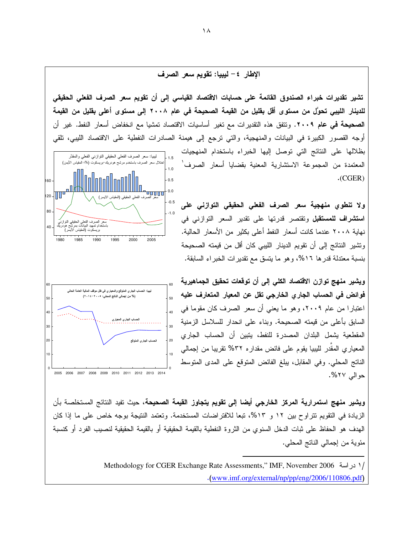الإطار ٤ – ليبيا: تقويم سعر الصرف

 $-0.5$ 1.0  $1.5$ ليبيا: سعر الصرف الفعلي الحقيقي التوازني الفعلي والمقدَّر تثنير تقديرات خبراء الصندوق القائمة على حسابات الاقتصاد القياسي إلى أن تقويم سعر الصرف الفعلي الحقيقي للدينار الليبي تحوّل من مستوى أقل بقليل من القيمة الصحيحة في عام ٢٠٠٨ إلى مستوى أعلى بقليل من القيمة **الصحيحة في عام ٢٠٠٩.** وتتفق هذه التقديرات مع تغير أساسيات الاقتصاد تمشيا مع انخفاض أسعار النفط. غير أن أوجه القصور الكبيرة في البيانات والمنهجية، والتي ترجع إلى هيمنة الصادرات النفطية على الاقتصاد الليبي، نلقي بظلالها على النتائج التي توصل إليها الخبراء باستخدام المنهجيات المعتمدة من المجموعة الاستشارية المعنية بقضايا أسعار الصرف<sup>'</sup> . (CGER)

> ولا تنطوي منهجية سعر الصرف الفعلى الحقيقى التوازنى على **استشراف للمستقبل** وتقتصر قدرتها على تقدير السعر التوازني في نهاية ٢٠٠٨ عندما كانت أسعار النفط أعلى بكثير من الأسعار الحالية. وتشير النتائج إلى أن تقويم الدينار الليبي كان أقل من قيمته الصحيحة بنسبة معتدلة قدر ها ١٦%، و هو ما يتسق مع تقدير ات الخبر اء السابقة.

ويشير منهج توازن الاقتصاد الكلي إلى أن توقعات تحقيق الجماهيرية فوائض في الحساب الجار ي الخارجي تقل عن المعيار المتعارف عليه اعتبارًا من عام ٢٠٠٩، وهو ما يعني أن سعر الصرف كان مقوماً في السابق بأعلى من قيمته الصحيحة. وبناء على انحدار للسلاسل الزمنية المقطعية يشمل البلدان المصدرة للنفط، ينبين أن الحساب الجاري المعياري المقدر لليبيا يقوم على فائض مقداره ٣٢% نقريبا من إجمالي الناتج المحلي. وفي المقابل، يبلغ الفائض المتوقع على المدى المتوسط حو الي ٢٧%.

و**يشير منهج استمرارية المركز الخارجي أيضا إلى تقويم يتجاوز القيمة الصحيحة، حيث تفيد النتائج المستخلصة بأن** الزيادة في التقويم تتراوح بين ١٢ و ١٣%، تبعا للافتراضات المستخدمة. وتعتمد النتيجة بوجه خاص على ما إذا كان المهدف هو الحفاظ على ثبات الدخل السنوي من الثروة النفطية بالقيمة الحقيقية او بالقيمة الحقيقية لنصبيب الفرد أو كنسبة مئوية من إجمالي الناتج المحلي.

> Methodology for CGER Exchange Rate Assessments," IMF, November 2006 % /2  $\cdot$ (www.imf.org/external/np/pp/eng/2006/110806.pdf)



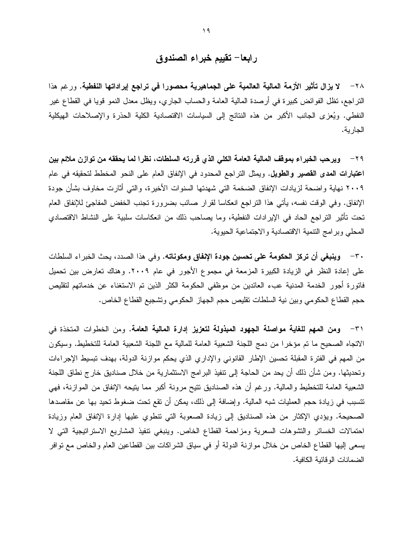## رابعا– تقييم خبراء الصندوق

٢٨ – لا يزال تأثير الأزمة المالية العالمية على الجماهيرية محصورا في تراجع إيراداتها النفطية. ورغم هذا النز اجع، نظل الفوائض كبيرة في أرصدة المالية العامة والحساب الجاري، ويظل معدل النمو قويا في القطاع غير النفطي. ويُعزى الجانب الأكبر من هذه النتائج إلى السياسات الاقتصادية الكلية الحذرة والإصلاحات الهيكلية الجارية.

٢٩ – ويرحب الخبراء بموقف المالية العامة الكلي الذي قررته السلطات، نظرا لما يحققه من توازن ملائم بين اعتبارات العدى القصير والطويل. ويمثل التراجع المحدود في الإنفاق العام على النحو المخطط لتحقيقه في عام ٢٠٠٩ نهاية واضحة لزيادات الإنفاق الضخمة التي شهدتها السنوات الأخيرة، والتي أثارت مخاوف بشأن جودة الإنفاق. وفي الوقت نفسه، يأتي هذا التراجع انعكاسا لقرار صائب بضرورة تجنب الخفض المفاجئ للإنفاق العام تحت تأثير التراجع الحاد في الإيرادات النفطية، وما يصاحب ذلك من انعكاسات سلبية على النشاط الاقتصادي المحلي وبرامج التنمية الاقتصادية والاجتماعية الحيوية.

٣٠ – وينبغي أن تركز الحكومة على تحسين جودة الإنفاق ومكوناته. وفي هذا الصدد، يحث الخبر اء السلطات على إعادة النظر في الزيادة الكبيرة المزمعة في مجموع الأجور في عام ٢٠٠٩. وهناك تعارض بين تحميل فاتورة أجور الخدمة المدنية عبء العائدين من موظفى الحكومة الكثر الذين تم الاستغناء عن خدماتهم لتقليص حجم القطاع الحكومي وبين نية السلطات تقليص حجم الجهاز الحكومي وتشجيع القطاع الخاص.

٣١ – ومن المهم للغاية مواصلة الجهود المبذولة لتعزيز إدارة المالية العامة. ومن الخطوات المتخذة في الاتجاه الصحيح ما تم مؤخرًا من دمج اللجنة الشعبية العامة للمالية مع اللجنة الشعبية العامة للتخطيط. وسيكون من المهم في الفترة المقبلة تحسين الإطار القانوني والإداري الذي يحكم موازنة الدولة، بهدف تبسيط الإجراءات وتحديثها. ومن شأن ذلك أن يحد من الحاجة إلى تنفيذ البرامج الاستثمارية من خلال صناديق خار ج نطاق اللجنة الشعبية العامة للتخطيط والمالية. ورغم أن هذه الصناديق نتيح مرونة أكبر مما ينيحه الإنفاق من الموازنة، فهي تتسبب في زيادة حجم العمليات شبه المالية. وإضافة إلى ذلك، يمكن أن نقع تحت ضغوط تحيد بها عن مقاصدها الصحيحة. ويؤدي الإكثار من هذه الصناديق إلى زيادة الصعوبة التي نتطوى عليها إدارة الإنفاق العام وزيادة احتمالات الخسائر والتشوهات السعرية ومزاحمة القطاع الخاص. وينبغي نتفيذ المشاريع الاستراتيجية التبي لا يسعى إليها القطاع الخاص من خلال موازنة الدولة أو في سياق الشراكات بين القطاعين العام والخاص مع نوافر الضمانات الو قائبة الكافية.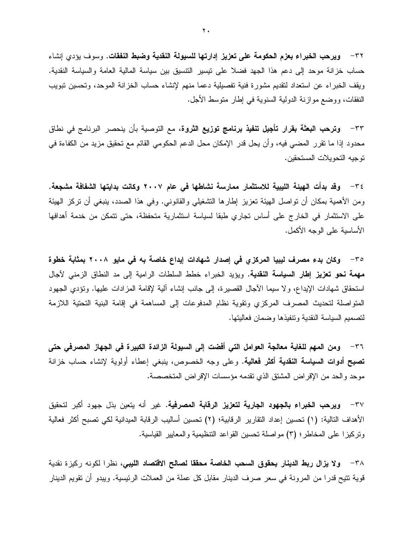٣٢ – ويرحب الخبراء بعزم الحكومة على تعزيز إدارتها للسبولة النقدية وضبط النفقات. وسوف بؤدي إنشاء حساب خزانة موحد إلى دعم هذا الجهد فضلا على نيسير التنسيق بين سياسة المالية العامة والسياسة النقدية. ويقف الخبراء عن استعداد لنقديم مشورة فنية تفصيلية دعما منهم لإنشاء حساب الخزانة الموحد، وتحسين تبويب النفقات، ووضع موازنة الدولية السنوية في إطار منوسط الأجل.

٣٣– وترحب البعثة بقرار تأجيل تنفيذ برنامج توزيع الثروة، مع التوصية بأن ينحصر البرنامج في نطاق محدود إذا ما نقرر المضـى فيه، وأن يحل قدر الإمكان محل الدعم الحكومي القائم مع تحقيق مزيد من الكفاءة في نوجيه التحويلات المستحقين.

٣٤ – وقد بدأت الهيئة الليبية للاستثمار ممارسة نشاطها في عام ٢٠٠٧ وكانت بدايتها الشفافة مشجعة. ومن الأهمية بمكان أن نواصل الهيئة تعزيز إطارها التشغيلي والقانوني. وفي هذا الصدد، ينبغي أن نركز الهيئة على الاستثمار في الخارج على أساس تجاري طبقا لسياسة استثمارية متحفظة، حتى تتمكن من خدمة أهدافها الأساسبة على الوجه الأكمل.

٣٥ - وكان بدء مصرف ليبيا المركزي في إصدار شهادات إيداع خاصة به في مايو ٢٠٠٨ بمثابة خطوة مهمة نحو تعزيز إطار السياسة النقدية. ويؤيد الخبراء خطط السلطات الرامية إلى مد النطاق الزمني لآجال استحقاق شهادات الإيداع، ولا سيما الأجال القصيرة، إلى جانب إنشاء ألية لإقامة المزادات عليها. ونؤدي الجهود المتواصلة لتحديث المصرف المركزي وتقوية نظام المدفوعات إلى المساهمة في إقامة البنية التحتية اللازمة لتصميم السياسة النقدية وتتفيذها وضمان فعاليتها.

٣٦ – ومن المهم للغاية معالجة العوامل التي أفضت إلى السيولة الزائدة الكبيرة في الجهاز المصرفي حتى <mark>تصبح أدوات السياسة النقدية أكثر فعالية.</mark> وعلى وجه الخصوص، ينبغي إعطاء أولوية لإنشاء حساب خزانة موحد والحد من الإقراض المشتق الذي تقدمه مؤسسات الإقراض المتخصصة.

٣٧ - ويرحب الخبراء بالجهود الجارية لتعزيز الرقابة المصرفية. غير أنه يتعين بذل جهود أكبر لتحقيق الأهداف التالية: (١) تحسين إعداد التقارير الرقابية؛ (٢) تحسين أساليب الرقابة الميدانية لكي تصبح أكثر فعالية ونركيزًا على المخاطر؛ (٣) مواصلة نحسين القواعد التنظيمية والمعايير القياسية.

٣٨ – ولا يزال ربط الدينار بحقوق السحب الخاصة محققا لصالح الاقتصاد الليبي، نظرا لكونه ركيزة نقدية قوية تتيح قدرًا من المرونة في سعر صرف الدينار مقابل كل عملة من العملات الرئيسية. ويبدو أن تقويم الدينار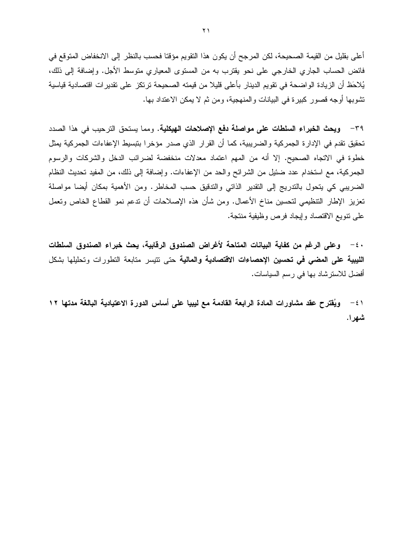أعلى بقليل من القيمة الصحيحة، لكن المرجح أن يكون هذا التقويم مؤقتا فحسب بالنظر إلى الانخفاض المتوقع في فائض الحساب الجاري الخارجي على نحو يقترب به من المستوى المعياري متوسط الأجل. وإضافة إلى ذلك، يُلاحَظ أن الزيادة الواضحة في تقويم الدينار بأعلى قليلا من قيمته الصحيحة ترتكز على تقدير ات اقتصادية قياسية تشوبها أوجه قصور كبيرة في البيانات والمنهجية، ومن ثم لا يمكن الاعتداد بها.

٣٩ - ويحث الخبراء السلطات على مواصلة دفع الإصلاحات الهيكلية. ومما يستحق الترحيب في هذا الصدد تحقيق تقدم في الإدارة الجمركية والضريبية، كما أن القرار الذي صدر مؤخرا بتبسيط الإعفاءات الجمركية يمثل خطوة في الاتجاه الصحيح. إلا أنه من المهم اعتماد معدلات منخفضة لضرائب الدخل والشركات والرسوم الجمركية، مع استخدام عدد ضئيل من الشرائح والحد من الإعفاءات. وإضافة إلى ذلك، من المفيد تحديث النظام الضريبي كي يتحول بالتدريج إلى التقدير الذاتي والتدقيق حسب المخاطر. ومن الأهمية بمكان أيضا مواصلة تعزيز الإطار التنظيمي لتحسين مناخ الأعمال. ومن شأن هذه الإصلاحات أن ندعم نمو القطاع الخاص ونعمل على نتويع الاقتصاد وإيجاد فرص وظيفية منتجة.

· ٤ – وعلى الرغم من كفاية البيانات المتاحة لأغراض الصندوق الرقابية، يحث خبراء الصندوق السلطات الليبية على المضى في تحسين الإحصاءات الاقتصادية والمالية حتى تتيسر متابعة التطورات وتحليلها بشكل أفضل للاسترشاد بها في رسم السياسات.

ويُقترح عقد مشاورات المادة الرابعة القادمة مع ليبيا على أساس الدورة الاعتيادية البالغة مدتها ١٢  $-\epsilon$ ) شهرا.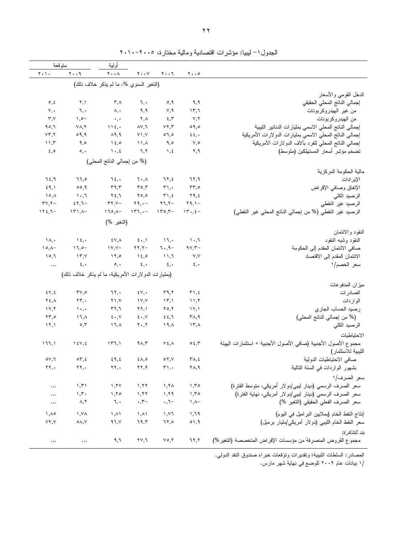|                                                                |                                     |                               |                                     | أولية                                  |                                                     | متوقعة                              |
|----------------------------------------------------------------|-------------------------------------|-------------------------------|-------------------------------------|----------------------------------------|-----------------------------------------------------|-------------------------------------|
|                                                                | $\mathbf{y} \cdot \cdot \mathbf{0}$ | ۲۰۰٦                          | $\mathbf{Y} \cdot \cdot \mathbf{Y}$ | $\mathbf{Y} \cdot \cdot \mathbf{A}$    | $\mathbf{y} \cdot \mathbf{y}$                       | ۲۰۱۰                                |
|                                                                |                                     |                               |                                     | (النغير السنوي %، ما لم يذكر خلاف ذلك) |                                                     |                                     |
| الدخل القومي والأسعار                                          |                                     |                               |                                     |                                        |                                                     |                                     |
| إجمالي الناتج المحلى الحقيقى                                   | ۹,۹                                 | 0,9                           | ٦,٠                                 | $\mathsf{r}$ , $\wedge$                | ۲,۱                                                 | $\circ, \circ$                      |
| من غير المهيدروكربونات                                         | ۶۳,٦                                | ٧,٩                           | ۹,۹                                 | ۸,٠                                    | ٦,٠                                                 | $\vee, \bullet$                     |
| من الهيدروكربونات                                              | ۷,۲                                 | 5,7                           | $\mathbf{Y}, \mathbf{A}$            | $\star$ , $\star$                      | $\lambda, \circ -$                                  | $\mathbf{r}, \mathbf{v}$            |
| إجمالي الناتج المحلى الاسمى بمليارات الدنانير الليبية          | 09,0                                | YY,Y                          | $\lambda$ $\vee$ , $\lambda$        | 115,                                   | $Y\Lambda, Y$                                       | ۹٥,٦                                |
| إجمالي النانج المحلي الاسمي بمليارات الدولارات الأمريكية       | $\epsilon$ $\epsilon$ , $\cdot$     | 07,0                          | $Y \setminus V$                     | $\lambda$ ٩,٩                          | 09,9                                                | YY,Y                                |
| إجمالي الناتج المحلي للفرد بألاف الدولارات الأمريكية           | ۷,٥                                 | ۹,٥                           | $\lambda$ , $\lambda$               | $\lambda \xi$ ,0                       | ۹,٥                                                 | 11,7                                |
| تضخم مؤشر أسعار المستهلكين (متوسط)                             | ۲,۹                                 | ৲, ٤                          | ٦,٢                                 | $\lambda \cdot 2$                      | $\circ, \cdot$                                      | $\epsilon, \circ$                   |
|                                                                |                                     |                               |                                     | (% من إجمالي الناتج المحلي)            |                                                     |                                     |
| مالية الحكومة المركزية                                         |                                     |                               |                                     |                                        |                                                     |                                     |
| الإير ادات                                                     | ٦٢,٩                                | ٦٢,٤                          | ٦.,٨                                | ٦٤,٠                                   | ٦٦,٥                                                | ٦٤,٩                                |
| الإنفاق وصافى الإقراض                                          | $rr, \circ$                         | $\mathbf{r}_{1}$ ,            | $r \circ r$                         | $\mathbf{r}$ ٩,٣                       | 00,9                                                | 59,1                                |
| الرصيد الكلى                                                   | ۲۹,٤                                | $\mathbf{r}$ , $\epsilon$     | $Y \circ \phi$                      | ۲٤,٦                                   | ٦٠,٦                                                | ۱۰,۸                                |
| الرصيد غير النفطي                                              | ۲۹,۱ $-$                            | $\mathbf{Y}$ , $\mathbf{Y}$ - | $\mathbf{Y}$ 9, $\bullet$ -         | $\mathbf{r} \mathbf{y}, \mathbf{y}$    | $57,7-$                                             | $\mathbf{r} \mathbf{v}, \mathbf{v}$ |
| الرصيد غير النفطي (% من إجمالي الناتج المحلي غير النفطي)       | $15.5 -$                            | $150,5-$                      | $157, -$                            | $170, \lambda -$                       | $\{\Upsilon\},\Lambda-$                             | $112,7-$                            |
|                                                                |                                     |                               |                                     | (النغير %)                             |                                                     |                                     |
| النقود والائتمان                                               |                                     |                               |                                     |                                        |                                                     |                                     |
| النقود وشبه النقود                                             | ٦,٠٦                                | ١٦,٠                          | $\epsilon \cdot, \iota$             | ٤٧,٨                                   | $\lambda \xi$ ,                                     | $\lambda, \cdot$                    |
| صافى الائتمان المقدم إلى الحكومة                               | $9Y,7$ -                            | $7.9-$                        | $\mathbf{Y}\mathbf{Y}, \mathbf{Y}$  | $\gamma \gamma$ , $\gamma -$           | $11,0-$                                             | $\lambda \circ \lambda -$           |
| الائتمان المقدم إلى الاقتصاد                                   | ٧,٧                                 | $\lambda$                     | 15,0                                | $\lambda$                              | ۱۳,۷                                                | ۱٥,٦                                |
| سعر الخصم/١                                                    | $\epsilon, \cdot$                   | ٤,٠                           | $\epsilon, \cdot$                   | $\circ, \cdot$                         | ٤,٠                                                 | $\ddots$                            |
|                                                                |                                     |                               |                                     |                                        | (بمليارات الدولارات الأمريكية، ما لم يذكر خلاف ذلك) |                                     |
| ميزان المدفوعات                                                |                                     |                               |                                     |                                        |                                                     |                                     |
| الصادر ات                                                      | $\mathbf{r}$ 1, $\epsilon$          | ۳۹,۲                          | $\mathcal{X} \vee$ ,                | ٦٢,٠                                   | ۳۷,٥                                                | $2 \vee 2$                          |
| الواردات                                                       | ۱۱,۲                                | $\mathcal{N}, \mathcal{N}$    | $\gamma v, \gamma$                  | $Y \setminus Y$                        | $\mathbf{Y}\mathbf{Y}, \cdot$                       | $Y \xi, \Lambda$                    |
| رصيد الحساب الجاري                                             | $\mathcal{N}, \mathcal{N}$          | ۲٥,۲                          | ۲۹,۱                                | $r$ ٦,٦                                | $\lambda$                                           | $\gamma$                            |
| (% من إجمالي الناتج المحلي)                                    | ۳۸,۹                                | 22,7                          | $\epsilon \cdot y$                  | $\epsilon \cdot$ , Y                   | ۱٦,۸                                                | $\mathbf{Y}\mathbf{y},\mathbf{0}$   |
| الرصيد الكلي                                                   | ۱۳,۸                                | $19, \lambda$                 | $\mathbf{y} \cdot \mathbf{y}$       | ۱٦,۸                                   | $\circ$ , $\mathsf{r}$                              | 17,1                                |
| الاحتياطيات                                                    |                                     |                               |                                     |                                        |                                                     |                                     |
| مجموع الأصول الأجنبية (صافى الأصول الأجنبية + استثمارات الهيئة | $\circ$ {, $\mathbf r$              | $V\epsilon, \Lambda$          | ۹۸٫۳                                | ۱۳٦,۱                                  | $\lambda \xi V, \xi$                                | ۱٦٦,۱                               |
| الليبية للاستثمار)                                             |                                     |                               |                                     |                                        |                                                     |                                     |
| صافى الاحتياطيات الدولية                                       | $\mathbf{Y} \wedge, \mathbf{E}$     | $\circ$ $\vee$ , $\vee$       | ٤٨,٥                                | $\epsilon$ 9, $\epsilon$               | $\circ \tau, \epsilon$                              | $\circ$ $\vee$ , ٦                  |
| بشهور الواردات في السنة النالية                                | ۲۸,۹                                | $\mathbf{r}_1$ ,              | ۲۲,۹                                | ۲۲,۰                                   | ۲۲,٠                                                | ۲۲,۰                                |
| سعر الصرف/١                                                    |                                     |                               |                                     |                                        |                                                     |                                     |
| سعر الصرف الرسمي (دينار ليبي/دولار أمريكي، منوسط الفترة)       | 1,70                                | ۱,۲۸                          | ۱,۲۲                                | 1,71                                   | 1,51                                                | $\cdots$                            |
| سعر الصرف الرسمي (دينار ليبي/دولار أمريكي، نهاية الفترة)       | ۱,۳٥                                | 1,79                          | ۱,۲۲                                | 1,70                                   | 1, 7                                                | $\cdots$                            |
| سعر الصرف الفعلي الحقيقي (التغير %)                            | ۸,۸–                                | $\cdot$ , $7-$                | $\cdot$ , $\tau-$                   | ٦,٠                                    | ۸,۲                                                 | $\cdots$                            |
|                                                                |                                     |                               |                                     |                                        |                                                     |                                     |
| إنتاج النفط الخام (بملايين البراميل في اليوم)                  | 1,79                                | ۱,۷٦                          | $\lambda, \lambda$                  | $\lambda, \lambda$                     | ۱,۷۸                                                | ۸٫۸۵                                |
| سعر النفط الخام الليبي (دولار أمريكي/مليار برميل)              | $\circ$ ۱,۹                         | ٦٢,٥                          | 79,7                                | 97, 1                                  | $\circ \wedge, \vee$                                | YY, Y                               |
| بند للتذكر ۃ:                                                  |                                     |                               |                                     |                                        |                                                     |                                     |
| مجموع القروض المنصرفة من مؤسسات الإقراض المتخصصة (التغير %)    | ٦٢,٢                                | $\vee \circ, \vee$            | ۲۷,٦                                | ۹,٦                                    | $\ldots$                                            | $\ldots$                            |

الجدول ١– ليبيا: مؤشرات اقتصادية ومالية مختارة، ٢٠١٠-٢٠١٠

المصادر : السلطات الليبية؛ ونقديرات وتوقعات خبر اء صندوق النقد الدولمي.

/١ بيانات عام ٢٠٠٩ للوضع في نهاية شهر مارس.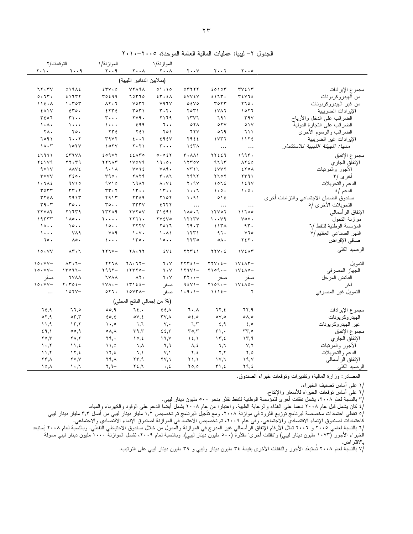| الجدول ٢– ليبيا: عمليات المالية العامة الموحدة، ٢٠٠٥-٢٠١٠ |  |  |  |
|-----------------------------------------------------------|--|--|--|
|                                                           |  |  |  |

| النوقعات/٢                    |                                                  | الموازنة/١                              |                                     | الموازنة/١                          |                                     |                                       |                                                      |                                       |
|-------------------------------|--------------------------------------------------|-----------------------------------------|-------------------------------------|-------------------------------------|-------------------------------------|---------------------------------------|------------------------------------------------------|---------------------------------------|
| $Y \cdot Y$                   | $\mathbf{y} \cdot \cdot \mathbf{q}$              | $Y \cdot . 9$                           | $\mathbf{Y} \cdot \cdot \mathbf{A}$ | $\mathbf{Y} \cdot \cdot \mathbf{A}$ | $\mathbf{y} \cdot \cdot \mathbf{y}$ | ۲۰۰٦                                  | $\mathbf{y} \cdot \mathbf{z}$                        |                                       |
|                               |                                                  |                                         | (بملايين الدنانير الليبية)          |                                     |                                     |                                       |                                                      |                                       |
| 71.7V                         | $019\lambda$                                     | 25.0                                    | <b>YYA9A</b>                        | 01.10                               | 07777                               | 20107                                 | $\mathbf{r} \mathbf{v} \mathbf{\epsilon} \mathbf{v}$ | مجموع الإيرادات                       |
| 0.77.                         | 51777                                            | 50299                                   | 70770                               | 25.2A                               | <b>٤٧٧٤٧</b>                        | 2177.                                 | $\mathbf{r}$ $\mathbf{y}$ $\mathbf{v}$               | من آلهيدروكربونات                     |
| 115.1                         | 1.707                                            | $\lambda$ $\lambda$ $\lambda$ $\lambda$ | $V$ $\circ$ $\tau$ $\tau$           | Y41V                                | 05V0                                | ۳٥٢٣                                  | 110.                                                 | من غير المهيدروكربونات                |
| EAIV                          | 250.                                             | 5555                                    | ۳۵۳۱                                | $r \cdot r$ .                       | ۲ 0۳۱                               | 1111                                  | ۱ 0 7 7                                              | الإير ادات الضريبية                   |
| ٣٤٥٦                          | $\mathbf{r}\cdot\mathbf{r}$                      | ٣٠٠٠                                    | $\gamma \gamma$ q.                  | ۲۱۶۹                                | 1517                                | ٦٩١                                   | 44V                                                  | الضرائب على الدخل والأرباح            |
| $\lambda \cdot \lambda \cdot$ | $\cdots$                                         | $\lambda$                               | ٤٩٩                                 | ٦.,                                 | $O Y \wedge$                        | $\circ$ Y V                           | 01V                                                  | الضر ائب على النجارة الدولية          |
| <b>YA.</b>                    | $Y \circ$ .                                      | ۲۳٤                                     | ۲٤١                                 | ۲٥۱                                 | ٦٢٧                                 | ٥٦٩                                   | ۱ ۱ ۲                                                | الضرائب والرسوم الأخرى                |
| 7091                          | 7.1                                              | 5957                                    | 5.7                                 | 295V                                | ٢٩٤٤                                | ۱۷۳٦                                  | ١١٢٤                                                 | الإير ادات غير الضريبية               |
| $1 \wedge \cdot 5$            | 101V                                             | 101V                                    | $Y \cdot Y$                         | ۳۰۰۰                                | $157\lambda$                        | $\ldots$                              | $\cdots$                                             | منها: الهيئة الليبية للاستثمار        |
| ٤٦٩٦١                         | ETIVA                                            | 209YY                                   | 25ATO                               | 0.051                               | ٢٠٨٨١                               | 77229                                 | 1995.                                                | مجموع الإنفاق                         |
| <b>72179</b>                  | 77.79                                            | <b>YYJAT</b>                            | $1 \vee 0 \vee 9$                   | 19.0.                               | 1170V                               | 9795                                  | $\lambda Y \epsilon o$                               | الإنفاق الجاري                        |
| 4Y1Y                          | <b>AAVE</b>                                      | 9.11                                    | <b>YY'LE</b>                        | VA9.                                | VT17                                | <b>EVVY</b>                           | ٤٢٥٨                                                 | الأجور والمرنبات                      |
| <b>TYYY</b>                   | $r \epsilon$ $\circ$ .                           | r90.                                    | ۲۸۲۹                                | $r \cdot \lambda$                   | ۲۹٦۲                                | ۲۶۵۲                                  | ۲۳۹۱                                                 | أخر ي /٣                              |
| 1.7 <sub>A</sub>              | ۹۷۱۰                                             | 9Y10                                    | 1911                                | $\Lambda \cdot Y$ ٤                 | Y.9V                                | ١٥٦٤                                  | 159V                                                 | الدعم والتحويلات                      |
| ۳٥٣٣                          | $rr \cdot r$                                     | $rr \cdot r$                            | 15.4                                | 15.4                                | ۱۰۰٦                                | $\cdot \circ \cdot$                   | $\cdot \circ \cdot$                                  | الدعم /٤                              |
| <b>٣٢٤٨</b>                   | ۲۹۱۳                                             | ۲۹۱۳                                    | ۲۳٤۹                                | ۲۱۰۲                                | ۱۰۹۱                                | 012                                   |                                                      | صندوق الضمان الاجتماعى والنزامات أخرى |
| r9.7                          | ro                                               | $ro.$ .                                 | $rrr\gamma$                         | 5117                                | $\ldots$                            | $\ldots$                              | $\ldots$                                             | التحويلات الأخرى /٥                   |
| <b>TYVAY</b>                  | ۲۱۶۳۹                                            | <b>TTTA9</b>                            | <b>YVYOV</b>                        | ۳۱٤٩۱                               | ۱۸۰۰٦                               | 111001                                | ۱۱٦٨٥                                                | الإنفاق الر أسمالي                    |
| ۱۹۳۳۳                         | $1\wedge0$                                       | 7                                       | 7771.                               | YVEVO                               | 1115V                               | ۱۰۰۷۹                                 | $\vee \circ \vee$ .                                  | موازنة التحول                         |
| $1 \wedge \cdot \cdot$        | 10                                               | 10                                      | YYYY                                | ۲ ۱ ۱ ۲                             | 49.5                                | 117 <sub>A</sub>                      | 97.                                                  | المؤسسة الوطنية للنفط /٦              |
| $\lambda$                     | ٧٨٩                                              | <b>VA9</b>                              | $\mathcal{N} \cdot \mathcal{N}$     | $\lambda \cdot \lambda$             | 1551                                | ٩٦.                                   | $V$ 10                                               | النهر الصناعي العظيم /٧               |
| ٦٥.                           | $\Lambda \circ \cdot$                            | $\lambda$                               | 150.                                | 10                                  | 1170                                | $\circ \wedge \cdot$                  | ۲٤۲۰                                                 | صافي الإقراض                          |
| 10.1                          | $\Lambda$ ۳.٦                                    | $YYY -$                                 | 71.77                               | ٤٧٤                                 | ۲۲۳٤۱                               | $YYV \cdot E$                         | 17215                                                | الرصيد الكلى                          |
| $10.1Y -$                     | $\Lambda$ ۳. $7-$                                | <b>XY74</b>                             | $Y \wedge \cdot Y =$                | ٦.٧                                 | $55752 -$                           | $\forall \forall \forall \cdot \xi$ - | $1Y\xi\wedge\tau-$                                   | التمويل                               |
| $10.1Y -$                     | $14011 -$                                        | $499 -$                                 | $117770 -$                          | ٦.٧                                 | $11111 -$                           | $Y109 -$                              | $1Y\xi\Lambda o-$                                    | الجهاز المصرفي                        |
| صفر                           | <b>TYAA</b>                                      | <b>TVAA</b>                             | ۸۲.                                 | ٦.٧                                 | $rr \cdot \cdot$ -                  | صفر                                   | صفر                                                  | الفائض المرحل                         |
| $10.1Y -$                     | $\mathbf{Y} \cdot \mathbf{Y} \circ \mathbf{E} -$ | $4V\Lambda -$                           | $17155 -$                           | صفر                                 | $95Y -$                             | $Y109 -$                              | $1Y\xi\Lambda o-$                                    | أخر                                   |
| $\ldots$                      | $10YY -$                                         | 011.                                    | $\lambda$                           | صفر                                 | $1.9.1 -$                           | $1115 -$                              | ۲                                                    | التمويل غير المصرفى                   |
|                               |                                                  |                                         | (% من إجمالي الناتج المحلي)         |                                     |                                     |                                       |                                                      |                                       |
| ٦٤,٩                          | 11,0                                             | 00,9                                    | ٦٤,٠                                | $E, \lambda$                        | ٦.,٨                                | ٦٢,٤                                  | ٦٢,٩                                                 | مجموع الإير ادات                      |
| 01,9                          | $\circ \tau$ , $\tau$                            | 20.5                                    | oV, E                               | $\mathsf{r}\vee\ldots$              | 0.50                                | $\circ \vee, \circ$                   | $0 \wedge 0$                                         | الهيدر وكربونات                       |
| ۱۱,۹                          | ۱۳,۲                                             | $\cdot$ ,0                              | ٦,٦                                 | $V, \cdot$                          | ٦,٣                                 | 2,9                                   | $\epsilon, \circ$                                    | غير الهيدروكربونات                    |
| 59,1                          | 00,9                                             | $\circ \wedge, \wedge$                  | ۳۹,۳                                | 25.5                                | ۳٥,۳                                | ۳۱,۰                                  | ۳۳,٥                                                 | مجموع الإنفاق                         |
| 70,7                          | $\mathbf{Y} \wedge, \mathbf{Y}$                  | ۲۹,۰                                    | 10, 2                               | ۱٦,٧                                | $\lambda \xi, \lambda$              | $\Upsilon$ , {                        | 15,9                                                 | الإنفاق الجاري                        |
| ۰,۲ ۱                         | 11, 2                                            | ۱۱,۰                                    | ٦,٨                                 | ٦,٩                                 | ۸, ٤                                | ٦,٦                                   | ۷,۲                                                  | الأجور والمرنبات                      |
| ۲۱.۲                          | 11, 2                                            | 17,5                                    | ٦.١                                 | V, V                                | ۲.٤                                 | ۲,۲                                   | ٥,٢                                                  | الدعم والتحويلات                      |
| ۲۳,۸                          | <b>YV, V</b>                                     | ۲۹,۸                                    | ۲۳,۹                                | ۲۷,٦                                | ۱,۱                                 | ۱۷,٦                                  | ۱۹,۷                                                 | الإنفاق الرأسمالي                     |
| ۸ ه ۱                         | ۲۰,٦                                             | -۰,۹                                    | ۲٤,٦                                | $\cdot$ , $\epsilon$                | ۰٫۵ ک                               | ۲۱,٤                                  | ۲۹,٤                                                 | الرصيد الكلى                          |

المصادر: وزارة المالية؛ وتقديرات وتوقعات خبراء الصندوق.

/١ على أساس تصنيف الخبراء.

/٢ على أساسٌ نوفعات الخبراء للأسعارِ والإنتاج.

/٣ بالنسبة لعام ٢٠٠٨، بشمل نفقات أخرى للمؤسسة الوطنية للنفط نقدًر بنحو ٥٠٠ مليون دينار ليبي.<br>/٤ كان يشمل قبل عام ٢٠٠٨ دعما على الغذاء والرعاية الطبية. واعتبارا من عام ٢٠٠٨ يشمل أيضا الدعم على الوقود والكهرباء وإلمياه.

/٥ تغطي اعتمادات مخصصة لبرنامج توزيع الثروة في موازنة ٢٠٠٨. ومع تأجيل البرنامج تم تخصيص ١,٢ مليار دينار ليبي من أصل ٣,٣ مليار دينار ليبي

.<br>كاعتمادات لصندوق الإنماء الاقتصادي والاجتماعيّ. وفي عام ٢٠٠٩، تم تخصيص الاعتماد في الموازنة لصندوق الإنماء الاقتصادي والاجتماعي.

/٦ بالنسبة لعامي ٢٠٠٥ و ٢٠٠٦ تمثَّل الأرقام الإنفاق الرأسمالي غير المدرج في الموازنة والممول من خلال صندوق الاحتياطي النفطي. وبالنسبة لعام ٢٠٠٨ يَستبعد الُخبراء الأجور (١٠٧٣ ملّيون دينار ليبي) و"نفقاتُ أخرى" مقدَّرة (٥٠٠ مليون دينار ليبيّي). وبالنسّبة لعام ٢٠٠٩، تشَّمل الموازنة ١٠٠٠ مليون دينار ليبي ممولةً بالاقتر اض.

/٢ بالنسبة لعام ٢٠٠٨ تُستبعَد الأجور والنفقات الأخرى بقيمة ٣٤ مليون دينار وليبي و ٣٩ مليون دينار ليبي على الترتيب.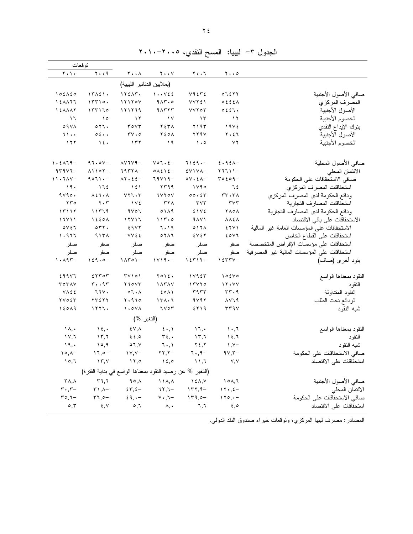| توقعات                                  |                                          |                                                          |                                            |                                         |                                         |                                             |
|-----------------------------------------|------------------------------------------|----------------------------------------------------------|--------------------------------------------|-----------------------------------------|-----------------------------------------|---------------------------------------------|
| $Y \cdot Y$                             | $\mathbf{y} \cdot \mathbf{y}$            | $\mathbf{Y} \bullet \bullet \mathbf{A}$                  | $\mathbf{Y} \cdot \cdot \mathbf{V}$        | $\mathbf{Y} \bullet \bullet \mathbf{T}$ | $\mathbf{y} \cdot \mathbf{z}$           |                                             |
|                                         |                                          | (بملايين الدنانير الليبية)                               |                                            |                                         |                                         |                                             |
| $105\lambda50$                          | 17121.                                   | 175AT.                                                   | 1.1                                        | $Y$ ٩٤٣٤                                | 07577                                   | صافى الأصول الأجنبية                        |
| 1511                                    | 15510.                                   | 11110V                                                   | $9AT$ , $\circ$                            | <b>VVYEI</b>                            | 0.555                                   | المصرف المركزي                              |
| 121117                                  | 157170                                   | 171779                                                   | 41577                                      | VVT                                     | 0.251.                                  | الأصول الأجنبية                             |
| $\overline{1}$                          | $\lambda$                                | $\gamma$                                                 | $\gamma$                                   | $\gamma$                                | $\gamma$                                | الخصوم الأجنبية                             |
| O 9 V A                                 | 017.                                     | $r$ $\circ$ $\vee$ $r$                                   | $Y \n\t\leq T \wedge$                      | ۲۱۹۳                                    | 19V                                     | بنوك الإيداع النقدي                         |
| 71                                      | 0.5.4                                    | $TV \cdot c$                                             | $Y \xi$ $O \Lambda$                        | ۲۲۹۷                                    | $Y \cdot 27$                            | الأصول الأجنبية                             |
| ۱۲۲                                     | $\lambda \xi$                            | $\gamma$                                                 | $\lambda$                                  | $\cdots$                                | $\vee \Upsilon$                         | الخصوم الأجنبية                             |
|                                         |                                          |                                                          |                                            |                                         |                                         |                                             |
| $\lambda \cdot \epsilon \wedge \tau$ 9- | 97.01                                    | $\lambda V$ ٦٧٩-                                         | $\forall$ o $\overline{\iota}$ . $\zeta$ - | $7129 -$                                | 2.92                                    | صافى الأصول المحلية                         |
| $4r4v1-$                                | $\lambda$ 1107-                          | $7977A-$                                                 | $0\wedge\xi\wedge\xi-$                     | $$Y$ $V$ $-$                            | $77711 -$                               | الائتمان المحلي                             |
| $11.7AY-$                               | $9071 -$                                 | $\Lambda$ Y $\cdot$ $\epsilon$ $\epsilon$ -              | 79719-                                     | $o \vee \cdot \epsilon \wedge -$        | $roto -9$                               | صافى الاستحقاقات على الحكومة                |
| 19.                                     | 175                                      | 151                                                      | ۲۳۹۹                                       | 1190                                    | ٦٤                                      | استحقاقات المصرف المركزى                    |
| 9490.                                   | $\Lambda$ { $\Lambda$ $\Lambda$          | $YY$ $\tau$ . $\tau$                                     | 1770Y                                      | 00.57                                   | $rr \cdot r \wedge$                     | ودائع الحكومة لدى المصرف المركزي            |
| rro                                     | $\mathbf{y} \cdot \mathbf{r}$            | $\gamma \vee \epsilon$                                   | $\tau\tau\wedge$                           | $\tau \vee \tau$                        | $\tau \vee \tau$                        | استحقاقات المصارف التجارية                  |
| ۱۳۱٦۲                                   | ۱۱۳۶۹                                    | $9$ $\sqrt{0}$                                           | 0119                                       | 51V                                     | ۲۸۰۸                                    | ودائع الحكومة لدى المصارف التجارية          |
| 17711                                   | $\lambda$ 2 2 0 $\lambda$                | 11111                                                    | 115.0                                      | 9AY                                     | $\lambda \lambda \xi \lambda$           | الاستحقاقات على باقى الاقتصاد               |
| $\circ$ Y ٤٦                            | $\circ$ $\uparrow$ $\uparrow$ .          | 29YY                                                     | ٦٠١٩                                       | 017 <sub>A</sub>                        | 555                                     | الاستحقاقات على المؤسسات العامة غير المالية |
| 1.977                                   | 915A                                     | <b>VV٤٤</b>                                              | $0 Y \wedge 7$                             | 5V5Y                                    | 20V1                                    | استحقاقات على القطاع الخاص                  |
| صفر                                     | صفر                                      | صفر                                                      | صفر                                        | صفر                                     | صفر                                     | استحقاقات على مؤسسات الإقراض المتخصصة       |
| صفر                                     | صفر                                      | صفر                                                      | صفر                                        | صفر                                     | صفر                                     | استحقاقات على المؤسسات المالية غير المصرفية |
| $\lambda \cdot \lambda$ 95-             | $159.0 -$                                | $\lambda \uparrow \circ \uparrow -$                      | $1119 -$                                   | $15717-$                                | $\gamma$ { $\tau\tau$ $\gamma$ -        | بنود أخرى (صاف)                             |
| 299Y1                                   | 5550                                     | T V 101                                                  | $Y \circ Y \in P$                          | 11957                                   | 105V0                                   | النقود بمعناها الواسع                       |
| TOTAY                                   | $\mathbf{r} \cdot \mathbf{A} \mathbf{r}$ | Y10YT                                                    | <b><i>IATAV</i></b>                        | 17170                                   | 11.44                                   | النقو د                                     |
| <b>VAEE</b>                             | 77V.                                     | $\circ$ 7 $\cdot$ $\wedge$                               | EOM                                        | ۳۹۳۳                                    | rr.9                                    | النقود المتداولة                            |
| $YV$ $\circ$ $\S$ $Y$                   | ٢٣٤٢٢                                    | 1.910                                                    | 171.7                                      | 9497                                    | $\lambda$ $\lambda$ $\lambda$ $\lambda$ | الودائع نحت الطلب                           |
| 15019                                   | 11177.                                   | $\lambda$ . $\circ$ $\vee$ $\wedge$                      | 1107                                       | ٤٢١٩                                    | rr9V                                    | شبه النقود                                  |
|                                         |                                          | (النغير %)                                               |                                            |                                         |                                         |                                             |
| $\lambda, \cdot$                        | $\lambda \xi$ ,                          | $\mathcal{E} \vee \mathcal{A}$                           | $\mathfrak{z}$ . $\mathfrak{z}$            | 17,                                     | $\lambda \cdot 7$                       | النقود بمعناها الواسع                       |
| $\gamma \gamma$ , $\gamma$              | $\gamma$ , $\gamma$                      | 22.0                                                     | $\tau$ $\epsilon$ ,.                       | 15,7                                    | 15.7                                    | النقود                                      |
| ۱۹,۰                                    | 10,9                                     | 07, 10                                                   | $7 \cdot 1$                                | $Y \xi, Y$                              | $\lambda, \lambda -$                    | شبه النقود                                  |
| $\lambda \circ \lambda -$               | $17,0-$                                  | $YY,Y-$                                                  | $\mathbf{Y}\mathbf{Y},\mathbf{Y}-$         | $7 \cdot 9 -$                           | $9Y,7$ -                                | صافى الاستحقاقات على الحكومة                |
| 10,7                                    | $\gamma$                                 | $\lambda$                                                | $\lambda \xi$ ,0                           | 11,7                                    | V, V                                    | استحقاقات على الاقتصاد                      |
|                                         |                                          | (التغير % عن رصيد النقود بمعناها الواسع في بداية الفترة) |                                            |                                         |                                         |                                             |
| $\mathsf{r}_{\mathsf{A},\mathsf{A}}$    | r7,7                                     | $90, \lambda$                                            | $\lambda$                                  | $\lambda \in \Lambda, \vee$             | 101,7                                   | صافى الأصول الأجنبية                        |
| $\mathbf{r} \cdot \mathbf{r}$           | $\uparrow$ \, \-                         | 55, 5                                                    | $77,7-$                                    | $177,9-$                                | $17.5 -$                                | الائتمان المحلي                             |
| $ro, 7-$                                | $57,0-$                                  | $29, -$                                                  | $\vee$ $\cdot$ , $\vee$ -                  | $179,0-$                                | $110, -$                                | صافي الاستحقاقات على الحكومة                |
| $\circ$ , $\mathsf{r}$                  | $\S$ , $V$                               | $\circ$ , $\mathcal{L}$                                  | $\lambda, \cdot$                           | ٦,٦                                     | 5,0                                     | استحقاقات على الاقتصاد                      |
|                                         |                                          |                                                          |                                            |                                         |                                         |                                             |

الجدول ٣– ليبيا: المسح النقدي، ٢٠٠٥-٢٠١٠

المصادر : مصرف ليبيا المركزي؛ وتوقعات خبر اء صندوق النقد الدولي.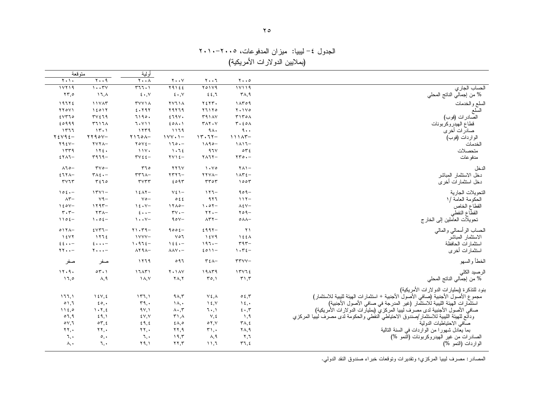لجدول ٤– ليبيا: ميزان المدفوعات، ٢٠٠٥-٢٠١٠ ١ (بملايين الدولار ات الأمريكية)

| متوقعة                                  |                                    | أولية                                   |                                     |                            |                                            |                                                                                                                                  |
|-----------------------------------------|------------------------------------|-----------------------------------------|-------------------------------------|----------------------------|--------------------------------------------|----------------------------------------------------------------------------------------------------------------------------------|
| $\mathbf{y} \cdot \mathbf{y}$           | $Y \cdot .9$                       | $\mathbf{Y} \bullet \bullet \mathbf{A}$ | $\mathbf{y} \cdot \cdot \mathbf{y}$ | ۲۰۰٦                       | $\mathbf{y} \cdot \cdot \mathbf{0}$        |                                                                                                                                  |
| 11119                                   | 1.7V                               | 577.1                                   | $Y 9 1$ $5 5$                       | Y01Y9                      | 11119                                      | الحساب الجاري                                                                                                                    |
| $\mathbf{Y}\mathbf{y}, \mathbf{0}$      | ١٦, $\lambda$                      | $\epsilon \cdot$ , $\vee$               | $\epsilon \cdot y$                  | 22.7                       | $\mathsf{r}_{\mathsf{\Lambda},\mathsf{q}}$ | % من إجمالي الناتج المحلي                                                                                                        |
| 19772                                   | 11745                              | <b>TYYIA</b>                            | <b>YYJIA</b>                        | ۲٤٢٣.                      | 1 <sub>AT</sub> 0 <sub>9</sub>             | السلع والخدمات                                                                                                                   |
| YY0Y1                                   | 15017                              | 2.797                                   | 79779                               | Y11Y0                      | $Y \cdot Y$                                | السلع                                                                                                                            |
| 5570                                    | TVE19                              | 7190.                                   | 279V.                               | <b>٣٩١٨٧</b>               | T170A                                      | الصادر ات (فوب)                                                                                                                  |
| 20999                                   | <b>٣٦١٦٨</b>                       | 7.11                                    | $20\lambda \cdot 1$                 | TAY. Y                     | $r \cdot \epsilon \circ \wedge$            | قطاع الهيدروكربونات                                                                                                              |
| ۱۳٦٦                                    | 15.1                               | ۱۲۳۹                                    | ۱۱۶۹                                | 9 <sub>A</sub>             | 9.1                                        | صادرات أخرى                                                                                                                      |
| $Y \xi Y$ 9 $\xi$ -                     | $YY90Y -$                          | $Y170A-$                                | $1YY \cdot 1 -$                     | $17.77 -$                  | $111AT-$                                   | الواردات (فوب)                                                                                                                   |
| $Y95V -$                                | $YYYA-$                            | $Y \circ Y \xi -$                       | $170 - -$                           | $1190 -$                   | $\lambda \lambda 1 -$                      | الخدمات                                                                                                                          |
| 1579                                    | 172.                               | 111.                                    | 1.72                                | 97V                        | $\circ \tau$                               | متحصلات                                                                                                                          |
| $5YAY -$                                | $r979-$                            | $\mathbf{r} \vee \xi$ $\zeta$ -         | $\forall y \in -$                   | $Y \wedge T Y -$           | $\forall \forall \circ \cdot -$            | مدفو عات                                                                                                                         |
| $\wedge$ 70-                            | $\mathbf{r} \mathbf{v} \mathbf{0}$ | 570                                     | <b>YYJY</b>                         | $\lambda \cdot \vee \circ$ | $Y \wedge Y -$                             | الدخل                                                                                                                            |
| $5771-$                                 | $T \wedge \xi$ .                   | $rr7\lambda-$                           | $5577 -$                            | YYVA-                      | $1ATE-$                                    | دخل الاستثمار المباشر                                                                                                            |
| $\mathbf{r} \vee \mathbf{r} \mathbf{r}$ | 550                                | rvrr                                    | 2095                                | rror                       | 1005                                       | دخل استثمار ات أخر ي                                                                                                             |
| $105 -$                                 | $1501 -$                           | $15AT -$                                | $V\S 1-$                            | $117 -$                    | $909-$                                     | التحويلات الجارية                                                                                                                |
| $\wedge$ ۳ $-$                          | $V9-$                              | $\vee \circ -$                          | 0.5.5                               | 917                        | $117-$                                     | الحكومة العامة /١                                                                                                                |
| $150V -$                                | $1197 -$                           | 15.1                                    | $17A0-$                             | $1.07-$                    | $\lambda \xi V -$                          | القطاع الخاص                                                                                                                     |
| $\mathbf{r} \cdot \mathbf{r}$           | $\mathbf{Y} \mathbf{Y} \wedge$     | $2 \cdot \cdot$                         | $\mathbf{r} \mathbf{v} \cdot$ -     | $\mathbf{y} \cdot -$       | $409 -$                                    | القطاع النفطي                                                                                                                    |
| $1105 -$                                | $1.02 -$                           | $\mathcal{N} \cdot \mathcal{N}$         | $90V -$                             | $\Lambda$ ۳۲-              | $0 \wedge \wedge -$                        | نحويلات العالّملين إلى الخارج                                                                                                    |
| $017A-$                                 | $5VT1-$                            | $Y1.79-$                                | $9006-$                             | $2997-$                    | $\lambda$                                  | الحساب الرأسمالي والمالي                                                                                                         |
| $\lambda$ { $\lambda$ $\lambda$         | 1772                               | $1$ Y Y Y $-$                           | $V \circ 7$                         | 1549                       | $\lambda \leq \epsilon \wedge$             | الاستثمار المباشر                                                                                                                |
| $22.1 -$                                | $2 \cdot \cdot \cdot$              | $1.972 -$                               | $\lambda \xi \xi$                   | $197 -$                    | $rqr-$                                     | استثمارات الحافظة                                                                                                                |
| $\gamma \gamma \cdot \cdot -$           | $\mathbf{y} \cdot \cdot \cdot$     | $\lambda$ Y ٩ $\lambda$ -               | $\lambda \lambda V$ + $-$           | $2011-$                    | $\eta \cdot \tau_{\epsilon}$               | استثمارات أخرى                                                                                                                   |
| صفر                                     | صفر                                | ۱۲٦۹                                    | 097                                 | $T\Sigma$                  | $rrvv-$                                    | الخطأ والسهو                                                                                                                     |
| 11.9.                                   | 04.1                               | 17AT1                                   | <b>Y</b> . 1 AV                     | 19AT9                      | 17115                                      | الرصيد الكلى                                                                                                                     |
| 17,0                                    | $\lambda$ , 9                      | $\lambda, \lambda$                      | $\mathsf{Y}\wedge,\mathsf{Y}$       | $\mathcal{L}(\mathcal{L})$ | $\uparrow$ ', $\uparrow$                   | % من إجمالي الناتج المحلي                                                                                                        |
|                                         |                                    |                                         |                                     |                            |                                            |                                                                                                                                  |
| ۱ ، ۱ ، ۱                               | $\lambda \xi V, \xi$               | 157,1                                   | $9\Lambda, 7$                       | $Y \xi, \Lambda$           | 0.5, 7                                     | بنود للتذكرة (بمليارات الدولارات الأمريكية)<br>مجموع الأصول الأجنبية (صافي الأصول الأجنبية + استثمارات الهيئة للبيبية للاستثمار) |
| 01,7                                    | $\epsilon \circ \cdot$             | $\mathsf{r}\mathsf{q},\mathsf{.}$       | $\lambda, \cdot$                    | $\lambda \xi, \gamma$      | $\lambda \xi$ ,                            | .<br>استثمار ات الّهيئة الليبية للاستثمار (غير المدرجة في صافي الأصول الأجنبية)                                                  |
| 1150                                    | 1.7.5                              | 9Y, Y                                   | $\Lambda \cdot \tau$                | $7 \cdot 1$                | 5.7                                        | صافي الأصولُ الأجنبية لدى مصَّرفُ لَّيبيا المَّركزيُّ (بمليلِّرات الدَّولارات الأمريكية)                                         |
| 07,9                                    | 59,1                               | ٤٧,٧                                    | $\mathsf{r}_1$ , $\wedge$           | $V, \xi$                   | $\lambda$ , ۹                              | ودائع للهيئة الليبية للاستثمار /صندوق الاحتياطي النفطي والحكومة لدى مصرف ليبيا المركزي                                           |
| oV,7                                    | $\circ \tau, \epsilon$             | 29, 2                                   | $2\lambda,0$                        | $\circ$ $\vee$ , $\vee$    | $\forall \lambda, \xi$                     | صاّفي الاحتياطيات الدولية                                                                                                        |
| $\mathbf{Y} \mathbf{Y}$ .               | $\mathbf{Y}$                       | $\mathbf{Y} \mathbf{Y}$ .               | ۲۲,۹                                | $\mathbf{r}_{1}$ .         | $\mathsf{Y}\wedge,\mathsf{Y}$              | بما يعادل شهورا من الواردات في السنة التالية                                                                                     |
| ٦,٠                                     | $\circ, \cdot$                     | ٦.٠                                     | ۱۹,۳                                | ۸,۹                        | ۲,٦                                        | الصادرات من غير الـهيدروكربونات (النمو %)                                                                                        |
| ۸,٠                                     | ٦,٠                                | ۲۹,۱                                    | $\mathbf{y}, \mathbf{y}$            | 11,7                       | 57,5                                       | الواردات (النمو %)                                                                                                               |

لمصـادر : مصـرف ليبيا المركزي؛ ونقديرات ونوقعات خبر اء صندوق النقد الدولي.

١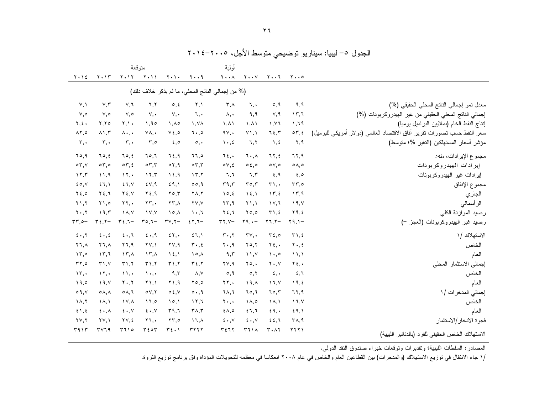|                                                                         |                                      |                                       |                                     | أولية                                            |                                        |                                     | متوقعة                    |                                 |                                          |                                     |
|-------------------------------------------------------------------------|--------------------------------------|---------------------------------------|-------------------------------------|--------------------------------------------------|----------------------------------------|-------------------------------------|---------------------------|---------------------------------|------------------------------------------|-------------------------------------|
|                                                                         | $y \cdot 0$                          | $Y \cdot \cdot 7$                     | $\mathbf{Y} \cdot \cdot \mathbf{Y}$ | $Y \cdot A$                                      | $y \cdot .4$                           | $Y \cdot Y$                         | $Y \cdot Y$               | $Y \cdot Y$                     | $Y \cdot Y$                              | $Y \cdot Y$                         |
|                                                                         |                                      |                                       |                                     | (% من إجمالي الناتج المحلي، ما لم يذكر خلاف ذلك) |                                        |                                     |                           |                                 |                                          |                                     |
| معدل نمو إجمالي الناتج المحلي الحقيقي (%)                               | ۹,۹                                  | 0,9                                   | ٦.٠                                 | $\mathsf{r}$ , $\wedge$                          | ۲,۱                                    | $\circ, \circ$                      | 7,7                       | ٧,٦                             | $V, \tau$                                | V, V                                |
| إجمالي الناتج المحلي الحقيقي من غير الهيدروكربونات (%)                  | 15,7                                 | V, 9                                  | ۹,۹                                 | $\lambda, \cdot$                                 | $\mathcal{L}$ .                        | $V_{\cdot}$                         | $V_{\cdot}$               | $V, \circ$                      | ٥,٧                                      | ٧,٥                                 |
| إنتاج النفط الخام (بملايين البراميل يوميا)                              | 1,79                                 | 1.17                                  | $\Lambda$                           | $\lambda, \lambda$                               | $\lambda$ . Y A                        | $\lambda$ . $\lambda$               | 1.90                      | Y.                              | Y,Y                                      | Y, 2.                               |
| سعر النفط حسب نصورات نقرير أفاق الاقتصاد العالمي (دولار أمريكي للبرميل) | $\circ \tau, \epsilon$               | 75,7                                  | $Y$ ), )                            | 4V,                                              | $7 \cdot 0$                            | $V\xi, \circ$                       | $\vee \wedge$ .           | $\Lambda \cdot \cdot \cdot$     | $\lambda$ $, \tau$                       | $\lambda$ ٢,٥                       |
| مؤشر أسعار المستهلكين (التغير %؛ متوسط)                                 | ۲,۹                                  | $\lambda$ , 2                         | 7,7                                 | $\mathcal{N} \cdot \mathcal{K}$                  | $\circ$ ,                              | $\epsilon, \circ$                   | $\mathbf{r}, \mathbf{0}$  | $\mathsf{r}$ ,                  | $\mathbf{r}$ , .                         | $\mathbf{r},\cdot$                  |
| مجموع الإيرادات، <i>منه:</i>                                            | 77,9                                 | 77,5                                  | $7 \cdot \lambda$                   | ٦٤,٠                                             | 0,71                                   | 7.5,9                               | ٦٥,٦                      | 70, 2                           | ٤,٥٦                                     | ٦٥,٩                                |
| إيرادات المهيدر وكربونات                                                | $\circ \wedge, \circ$                | $\circ \vee, \circ$                   | 0.6,0                               | $\circ \vee, \epsilon$                           | $\circ \tau, \tau$                     | $\circ$ 7, 9                        | $\circ \tau, \tau$        | $\circ \tau, \epsilon$          | $\circ \tau$ ,0                          | $\circ \tau$ , $\vee$               |
| إيرادات غير الهيدروكربونات                                              | 5,0                                  | 5,9                                   | 7,7                                 | ٦,٦                                              | $\Upsilon$ , $\Upsilon$                | 11,9                                | $\gamma$ , $\tau$         | $\lambda$ $\lambda$ , $\lambda$ | 11.9                                     | 11,7                                |
| مجموع الإنفاق                                                           | $rr, \circ$                          | $\mathbf{r}$ ,.                       | $r \circ r$                         | r9, r                                            | 00,9                                   | 59,1                                | EY,9                      | 51, V                           | 51,1                                     | $\epsilon \circ \mathcal{N}$        |
| الجاري                                                                  | 15,9                                 | $\gamma$ , $\zeta$                    | $\lambda \xi, \lambda$              | 10, 2                                            | $\mathbf{Y} \wedge, \mathbf{Y}$        | $Y \circ, Y$                        | $Y \xi, \eta$             | $Y \xi, V$                      | $Y \xi, I$                               | $Y\xi, \circ$                       |
| الر أسمالي                                                              | ۱۹,۷ $\lambda$                       | 11,7                                  | $Y \setminus \Lambda$               | $\mathbf{Y}\mathbf{Y}, \mathbf{Y}$               | YY, Y                                  | $\mathbf{Y} \mathbf{Y}, \mathbf{A}$ | $\mathbf{Y} \mathbf{Y}$ . | $\mathbf{Y}$ .                  | ۰٫۵ ۲                                    | $Y \cup Y$                          |
| رصيد الموازنة الكلي                                                     | ۲۹,٤                                 | T1, 2                                 | $Y_{0,0}$                           | ۲٤,٦                                             | $\cdot$ . $\cdot$                      | $\lambda$                           | $\lambda V, \lambda V$    | $\lambda, \lambda$              | 19,5                                     | $\mathbf{y} \cdot \mathbf{y}$       |
| رصيد غير الهيدروكربونات (العجز -)                                       | $\gamma$ 9, $\gamma$ -               | $\mathbf{Y} \mathbf{1}, \mathbf{Y} -$ | $\mathbf{Y}$ 9, $\cdot$ -           | $\mathsf{r}\mathsf{r},\mathsf{v}-$               | $57,7-$                                | $\mathbf{r} \mathbf{v}, \mathbf{v}$ | $ro, 7-$                  | $r_{\xi,7-}$                    | $\mathbf{r}$ $\epsilon$ , $\mathbf{r}$ - | $rr, \circ -$                       |
| الاستهلاك /١                                                            | T1, 2                                | $\mathbf{r}$ $\epsilon$ , $\circ$     | rv,                                 | $\mathbf{r} \cdot \mathbf{,} \mathbf{r}$         | 51,1                                   | 5.1                                 | 5.4                       | $5 \cdot 7$                     | $\epsilon \cdot , \epsilon$              | $5 \cdot 7$                         |
| الخاص                                                                   | $Y \cdot 2$                          | $Y_{\epsilon}$ .                      | $Y \circ Y$                         | $\mathbf{y} \cdot \mathbf{y}$                    | $\mathbf{r} \cdot \mathbf{z}$          | $\mathbf{y} \vee \mathbf{y}$        | $\Upsilon V, \Upsilon$    | ۲٦,٩                            | $\lambda, \lambda$                       | $\lambda$ , $\lambda$               |
| العام                                                                   | $\mathcal{N}, \mathcal{N}$           | $\cdot \cdot$ .                       | $\lambda \lambda \lambda$           | ۹,۳                                              | $\lambda \circ \lambda$                | $\lambda \xi$ , $\lambda$           | $\lambda \tau$ .          | $\lambda \tau$ , $\lambda$      | 15.7                                     | 15,0                                |
| إجمالي الاستثمار المحلى                                                 | $Y_{\xi}$ ,                          | $Y \cdot Y$                           | $\mathbf{y} \circ \cdot$            | $\mathsf{Y}\mathsf{Y}, \mathsf{Y}$               | $\mathbf{r}$ $\epsilon$ , $\mathbf{v}$ | 51.7                                | 51.7                      | 51.7                            | $\mathbf{r}$ , $\mathbf{v}$              | $\mathbf{r}$                        |
| الخاص                                                                   | 5,7                                  | $\epsilon, \cdot$                     | $\circ$ , $\circ$                   | $\circ, \circ$                                   | $\wedge, \vee$                         | ۹,۳                                 | $\lambda$                 | $\mathcal{N}$                   | $\mathcal{N}$                            | $\mathcal{N}, \cdot$                |
| العام                                                                   | 19, 5                                | 11, 1                                 | ۱۹,۸                                | $\mathbf{Y}$ ,.                                  | $\mathbf{y} \circ \mathbf{z}$          | $Y \cap \mathcal{A}$                | $Y \setminus \Lambda$     | $Y \cdot Y$                     | ۱۹,۷                                     | 19,0                                |
| إجمالي المدخرات /١                                                      | 77,9                                 | 70.7                                  | 70,7                                | ٦٨,٦                                             | 0.9                                    | 0.5, V                              | oV, Y                     | $0 \wedge 7$                    | $\circ \wedge, \wedge$                   | $\circ$ 9, $\vee$                   |
| الخاص                                                                   | 17, 1                                | $\lambda, \lambda$                    | ۱۸,٥                                | $\mathbf{y} \cdot \mathbf{y}$                    | 17,7                                   | 10,1                                | 17,0                      | $\lambda$ $\lambda$             | $\lambda$                                | $\lambda, \lambda$                  |
| العام                                                                   | 59,1                                 | 29.                                   | 27.7                                | $2\lambda,0$                                     | $T\Lambda$ , $T$                       | 579,7                               | $\epsilon \cdot v$        | $\epsilon \cdot v$              | $\epsilon \cdot \lambda$                 | 51,5                                |
| فجوة الادخار /الاستثمار                                                 | $\mathsf{r}_{\mathsf{A},\mathsf{q}}$ | 22.7                                  | $\epsilon \cdot v$                  | $\epsilon \cdot y$                               | $17, \lambda$                          | $\Upsilon \Upsilon$ ,0              | $\mathbf{Y}$ .            | $\forall \forall, \xi$          | $\Upsilon V, \Upsilon$                   | $\mathbf{Y} \mathbf{Y}, \mathbf{Y}$ |
| الاستهلاك الخاص الحقيقي للفرد (بالدنانير الليبية)                       | ۲۲۲۱                                 | $\mathbf{r} \cdot \mathbf{r}$         | 511A                                | ۳٤٦٢                                             | <b>TYYY</b>                            | $T\S$ .)                            | 550                       | 5710                            | 44                                       | ۳۹۱۳                                |

لجدول ٥– ليبيا: سيناريو توضيحي متوسط الأجل، ٢٠١٥-٢٠١٤ ١

لمصادر : السلطات الليبية؛ وتقديرات وتوقعات خبراء صندوق النقد الدولي.

١

/١ جاء الانتقال في توزيع الاستهلاك (والمدخرات) بين القطاعين العام والخاص في ماء ٢٠٠٨ انعكاسا في معظمه للتحويلات المؤداة وفق برنامج توزيع الثروة.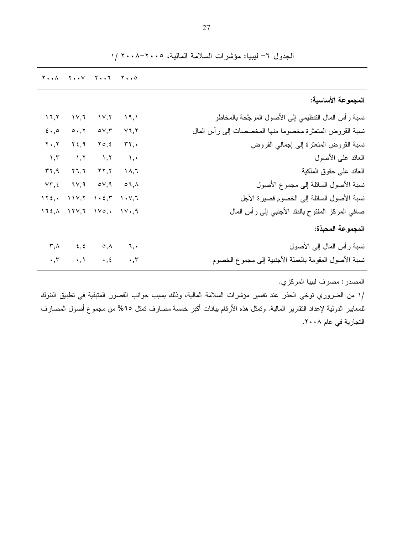| المجموعة الأساسية:                                                              |                   | $Y \cdot \cdot \wedge \quad Y \cdot \cdot \vee \quad Y \cdot \cdot \cdot Y \quad Y \cdot \cdot \circ$                                                    |                                 |                         |
|---------------------------------------------------------------------------------|-------------------|----------------------------------------------------------------------------------------------------------------------------------------------------------|---------------------------------|-------------------------|
|                                                                                 |                   |                                                                                                                                                          |                                 |                         |
|                                                                                 |                   |                                                                                                                                                          |                                 |                         |
| نسبة رأس المال التنظيمي إلى الأصول المرجَّحة بالمخاطر                           | 19,1              | $\gamma$ $\gamma$                                                                                                                                        | ۱۷,٦                            | 17,7                    |
| نسبة القروض المتعثرة مخصوما منها المخصصات إلىي رأس المال                        | $Y$ ٦,٢           | $\circ$ $\vee$ , $\check{\ }$                                                                                                                            | $\circ \cdot, \vee$             | $5 \cdot 20$            |
| نسبة القروض المتعثرة إلىي إجمالي القروض                                         | $\mathbf{r}$      | $Y \circ 5$                                                                                                                                              | $Y \xi, \eta$                   | $Y \cdot Y$             |
| العائد على الأصول<br>$\lambda$ , $\lambda$                                      |                   | $\lambda, \lambda$                                                                                                                                       | $\lambda, \lambda$              | $\lambda, \tau$         |
| العائد على حقوق الملكية                                                         | ۱۸,٦              | $\mathbf{y}$                                                                                                                                             | ۲٦,٦                            | ۳۲,۹                    |
| نسبة الأصول السائلة إلى مجموع الأصول                                            | $\circ 7, \wedge$ | $\circ \vee, \mathsf{q}$                                                                                                                                 | ۹,∨۲                            | $VT, \xi$               |
| نسبة الأصول السائلة إلى الخصوم قصيرة الأجل                                      | ヽ・∨,٦             | $\mathcal{N} \times \mathcal{L}, \mathcal{L} \longrightarrow \mathcal{N} \times \mathcal{N} \longrightarrow \mathcal{N} \times \mathcal{L}, \mathcal{K}$ |                                 |                         |
| صافي المركز المفتوح بالنقد الأجنبي إلىي رأس المال                               | $\mathcal{N}$     |                                                                                                                                                          | $172, \wedge 171, 7110, \cdots$ |                         |
| المجموعة المحبذة:                                                               |                   |                                                                                                                                                          |                                 |                         |
| نسبة رأس المال إلى الأصول                                                       | ्र, <b>•</b>      | $\circ$ , $\wedge$                                                                                                                                       | $\epsilon, \epsilon$            | $\mathsf{r}$ , $\wedge$ |
| نسبة الأصول المقومة بالعملة الأجنبية إلى مجموع الخصوم<br>$\cdot$ , $\mathsf{r}$ |                   | $\cdot$ , $\epsilon$                                                                                                                                     | $\cdot$ , $\cdot$               | $\cdot$ , $\tau$        |

الجدول ٦- ليبيا: مؤشرات السلامة المالية، ٢٠٠٥-٢٠٠٨ /١

المصدر : مصرف ليبيا المركزي. /١ من الضروري نوخي الحذر عند نفسير مؤشرات السلامة المالية، وذلك بسبب جوانب القصور المتبقية في نطبيق البنوك للمعابير الدولية لإعداد النقارير المالية. ونمثل هذه الأرقام بيانات أكبر خمسة مصارف نمثل ٩٥% من مجموع أصول المصارف التجارية في عام ٢٠٠٨.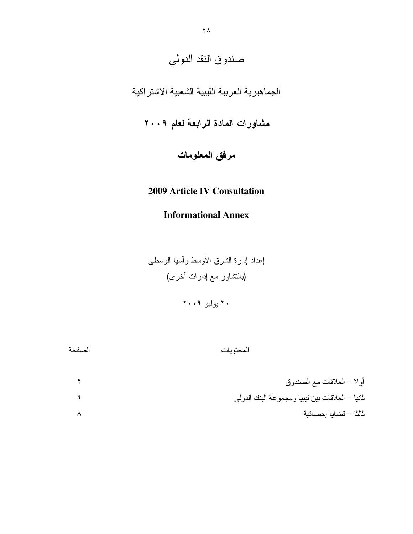# صندوق النقد الدولي

# الجماهيرية العربية الليبية الشعبية الاشتر اكية

مشاورات المادة الرابعة لعام ٢٠٠٩

مرفق المعلومات

## **2009 Article IV Consultation**

## **Informational Annex**

إعداد إدارة الشرق الأوسط وأسيا الوسطى (بالنشاور مع إدارات أخرى)

۲۰ بولیو ۲۰۰۹

المحتويات

| أو لا – العلاقات مع الصندوق                      |
|--------------------------------------------------|
| ثانيا – العلاقات بين ليبيا ومجموعة البنك الدولمي |
| ثالثا – قضايا إحصائية                            |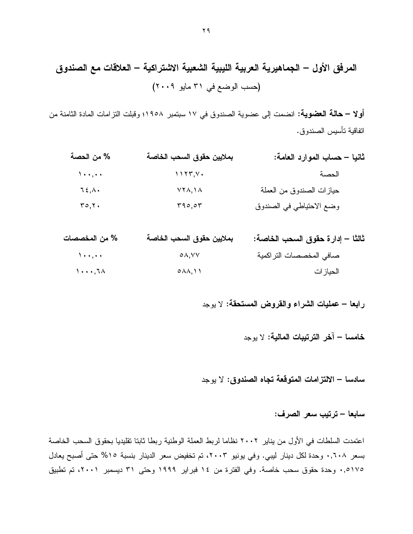**أولا – حالة العضوية:** انضمت إلى عضوية الصندوق في ١٧ سبتمبر ١٩٥٨؛ وقبلت التزامات المادة الثامنة من اتفاقية تأسيس الصندوق.

| % من الحصة         | بملايين حقوق السحب الخاصة | ثانيا – حساب الموارد العامة: |
|--------------------|---------------------------|------------------------------|
| $\Delta$ + + , + + |                           | الحصة                        |
| $75, \lambda$ .    | $YY\Lambda, Y\Lambda$     | حيازات الصندوق من العملة     |
| $r \circ r$ .      | r90,07                    | وضع الاحتياطي في الصندوق     |

| % من المخصصات                  | بملايين حقوق السحب الخاصة | ثالثًا – إدار ة حقوق السحب الخاصة: |
|--------------------------------|---------------------------|------------------------------------|
| $\lambda$ + + , + +            | $\circ \wedge, \vee \vee$ | صافى المخصصات التراكمية            |
| $1 \cdot \cdot \cdot 7 \wedge$ | $0 \wedge \wedge, 1$      | الحياز ات                          |

رابعا – عمليات الشراء والقروض المستحقة: لا يوجد

سادسا – الالتزامات المتوقعة تجاه الصندوق: لا يوجد

سابعا – ترتيب سعر الصرف:

اعتمدت السلطات في الأول من يناير ٢٠٠٢ نظاما لربط العملة الوطنية ربطا ثابتا تقليديا بحقوق السحب الخاصة بسعر ٠,٦٠٨ وحدة لكل دينار ليبي. وفي يونيو ٢٠٠٣، تم تخفيض سعر الدينار بنسبة ١٥% حتى أصبح يعادل ٠,٥١٧٥ وحدة حقوق سحب خاصة. وفي الفترة من ١٤ فبراير ١٩٩٩ وحتى ٣١ ديسمبر ٢٠٠١، تم تطبيق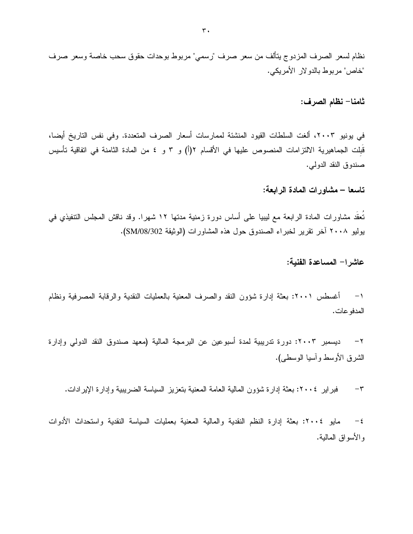نظام لسعر الصرف المزدوج بتألف من سعر صرف "رسمي" مربوط بوحدات حقوق سحب خاصة وسعر صرف "خاص" مربوط بالدو لار الأمريكي.

ثامنا– نظام الصرف:

في يونيو ٢٠٠٣، ألغت السلطات القيود المنشئة لممارسات أسعار الصرف المتعددة. وفي نفس التاريخ أيضا، قَبلت الجماهيرية الالتزامات المنصوص عليها في الأقسام ٢(أ) و ٣ و ٤ من المادة الثامنة في اتفاقية تأسيس صندوق النقد الدولي.

تاسعا – مشاورات المادة الرابعة:

تُعقُّد مشاورات المادة الرابعة مع ليبيا على أساس دورة زمنية مدتها ١٢ شهرا. وقد ناقش المجلس التتفيذي في بوليو ٢٠٠٨ آخر نقرير لخبراء الصندوق حول هذه المشاورات (الوثيقة SM/08/302).

عاشر ا– المساعدة الفنية:

١− أغسطس ٢٠٠١: بعثة إدارة شؤون النقد والصرف المعنية بالعمليات النقدية والرقابة المصرفية ونظام المدفو عات.

٢ – ديسمبر ٢٠٠٣: دورة ندريبية لمدة أسبوعين عن البرمجة المالية (معهد صندوق النقد الدولي وإدارة الشرق الأوسط و آسيا الوسطى).

فبراير ٢٠٠٤: بعثة إدارة شؤون المالية العامة المعنية بتعزيز السياسة الضريبية وإدارة الإيرادات.  $-\tau$ 

مايو ٢٠٠٤: بعثة إدارة النظم النقدية والمالية المعنية بعمليات السياسة النقدية واستحداث الأدوات  $-\xi$ و الأسو اق المالية.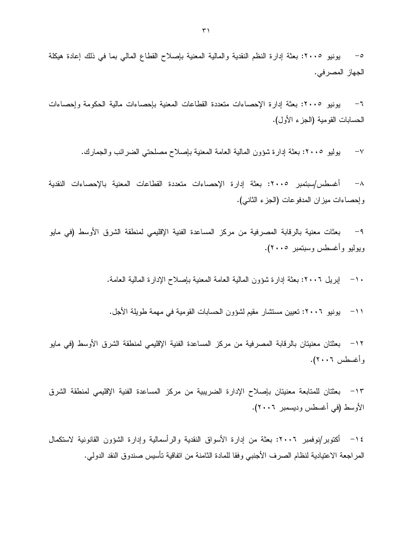٥– يونيو ٢٠٠٥: بعثة إدارة النظم النقدية والمالية المعنية بإصلاح القطاع المالي بما في ذلك إعادة هيكلة الجهاز المصر في.

٦– يونيو ٢٠٠٥: بعثة إدارة الإحصاءات متعددة القطاعات المعنية بإحصاءات مالية الحكومة وإحصاءات الحسابات القومية (الجزء الأول).

> بوليو ٢٠٠٥: بعثة إدارة شؤون المالية العامة المعنية بإصلاح مصلحتى الضرائب والجمارك.  $-\vee$

٨– أغسطس/سبتمبر ٢٠٠٥: بعثة إدارة الإحصاءات متعددة القطاعات المعنية بالإحصاءات النقدية وإحصاءات ميزان المدفوعات (الجزء الثانبي).

بعثات معنية بالرقابة المصرفية من مركز المساعدة الفنية الإقليمي لمنطقة الشرق الأوسط (في مايو  $-9$ ويوليو وأغسطس وسبتمبر ٢٠٠٥).

١٠− إبريل ٢٠٠٦: بعثة إدارة شؤون المالية العامة المعنية بإصلاح الإدارة المالية العامة.

١١– يونيو ٢٠٠٦: نعيين مستشار مقيم لشؤون الحسابات القومية في مهمة طويلة الأجل.

1 ٢ بعثتان معنيتان بالرقابة المصرفية من مركز المساعدة الفنية الإقليمي لمنطقة الشرق الأوسط (في مايو وأغسطس ٢٠٠٦).

1٣ - بعثتان للمتابعة معنيتان بإصلاح الإدارة الضريبية من مركز المساعدة الفنية الإقليمي لمنطقة الشرق الأوسط (في أغسطس وديسمبر ٢٠٠٦).

١٤ – أكتوبر/نوفمبر ٢٠٠٦: بعثة من إدارة الأسواق النقدية والرأسمالية وإدارة الشؤون القانونية لاستكمال المراجعة الاعتيادية لنظام الصرف الأجنبي وفقا للمادة الثامنة من اتفاقية تأسيس صندوق النقد الدولي.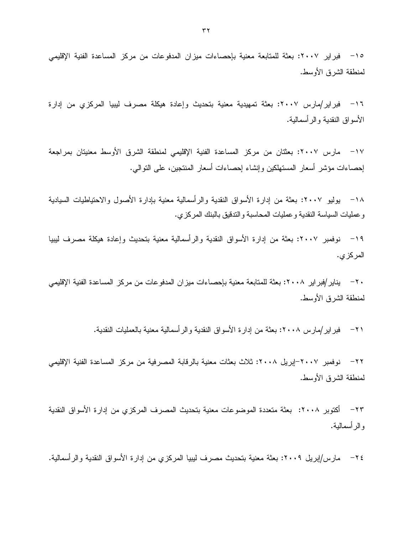١٥– فبر اير ٢٠٠٧: بعثة للمتابعة معنية بإحصاءات ميز ان المدفو عات من مركز المساعدة الفنية الإقليمي لمنطقة الشرق الأوسط.

١٦ - فبراير/مارس ٢٠٠٧: بعثة تمهيدية معنية بتحديث وإعادة هيكلة مصرف ليبيا المركزي من إدارة الأسواق النقدية والرأسمالية.

١٧ − مارس ٢٠٠٧: بعثتان من مركز المساعدة الفنية الإقليمي لمنطقة الشرق الأوسط معنيتان بمراجعة إحصاءات مؤشر أسعار المستهلكين وإنشاء إحصاءات أسعار المنتجين، على النوالي.

١٨ – بوليو ٢٠٠٧: بعثة من إدارة الأسواق النقدية والرأسمالية معنية بإدارة الأصول والاحتياطيات السيادية و عمليات السياسة النقدية و عمليات المحاسبة و الندفيق بالبنك المركز ي.

١٩ – نوفمبر ٢٠٠٧: بعثة من ادارة الأسواق النقدية والرأسمالية معنية بتحديث وإعادة هيكلة مصرف ليبيا المركز ي.

٢٠ − بناير /فبر اير ٢٠٠٨: بعثة للمتابعة معنية بإحصـاءات ميز ان المدفو عات من مر كز المساعدة الفنية الإقليمي لمنطقة الشرق الأوسط.

٢١ – فبر اير إمار س ٢٠٠٨: بعثة من إدار ة الأسواق النقدية و الر أسمالية معنية بالعمليات النقدية.

٢٢– نوفمبر ٢٠٠٧–إبريل ٢٠٠٨: ثلاث بعثات معنية بالرقابة المصرفية من مركز المساعدة الفنية الإقليمي لمنطقة الشرق الأوسط.

٢٣– أكتوبر ٢٠٠٨: بعثة متعددة الموضوعات معنية بتحديث المصرف المركزي من إدارة الأسواق النقدية و الر أسمالية.

٢٤ – مارس/إبريل ٢٠٠٩: بعثة معنية بتحديث مصرف ليبيا المركزي من إدارة الأسواق النقدية والرأسمالية.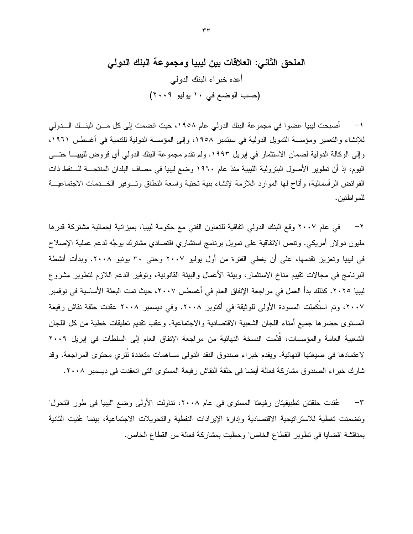للإنشاء والتعمير ومؤسسة التمويل الدولية في سبتمبر ١٩٥٨، وإلى المؤسسة الدولية للتنمية في أغسطس ١٩٦١، وإلى الوكالة الدولية لضمان الاستثمار في إبريل ١٩٩٣. ولم تقدم مجموعة البنك الدولي أي قروض لليبيـــا حتـــي اليوم، إذ أن تطوير الأصول البترولية الليبية منذ عام ١٩٦٠ وضع ليبيا في مصاف البلدان المنتجـــة للـــنفط ذات الفوائض الرأسمالية، وأتاح لها الموارد اللازمة لإنشاء بنية تحتية واسعة النطاق وتسوفير الخسدمات الاجتماعيـــة للمو اطنين.

في عام ٢٠٠٧ وقع البنك الدولي اتفاقية للتعاون الفني مع حكومة ليبيا، بميزانية إجمالية مشتركة قدرها  $-7$ مليون دولار أمريكي. ونتص الاتفاقية على نمويل برنامج استشاري اقتصادي مشترك بوجَّه لدعم عملية الإصلاح في ليبيا وتعزيز تقدمها، على أن يغطي الفترة من أول يوليو ٢٠٠٧ وحتى ٣٠ يونيو ٢٠٠٨. وبدأت أنشطة البرنامج في مجالات نقييم مناخ الاستثمار، وبيئة الأعمال والبيئة القانونية، وتوفير الدعم اللازم لتطوير مشروع ليبيا ٢٠٢٥. كذلك بدأ العمل في مراجعة الإنفاق العام في أغسطس ٢٠٠٧، حيث تمت البعثة الأساسية في نوفمبر ٢٠٠٧، وتم استَكمِلت المسودة الأولى للوثيقة في أكتوبر ٢٠٠٨. وفي ديسمبر ٢٠٠٨ عقدت حلقة نقاش رفيعة المستوى حضرها جميع أمناء اللجان الشعبية الاقتصادية والاجتماعية. وعقب نقديم تعليقات خطية من كل اللجان الشعبية العامة والمؤسسات، قَدِّمت النسخة النهائية من مراجعة الإنفاق العام إلى السلطات في إبريل ٢٠٠٩ لاعتمادها في صيغتها النهائية. ويقدم خبراء صندوق النقد الدولي مساهمات متعددة نَثَرى محتوى المراجعة. وقد شارك خبر اء الصندوق مشاركة فعالة أيضا في حلقة النقاش رفيعة المستوى التي انعقدت في ديسمبر ٢٠٠٨.

عُقدت حلقتان تطبيقيتان رفيعتا المستوى في عام ٢٠٠٨، نتاولت الأولى وضع "ليبيا في طور التحول"  $-\tau$ ونضمنت نغطية للاستراتيجية الاقتصادية وإدارة الإيرادات النفطية والتحويلات الاجتماعية، بينما عُنيت الثانية بمناقشة "قضايا في نطوير القطاع الخاص" وحظيت بمشاركة فعالة من القطاع الخاص.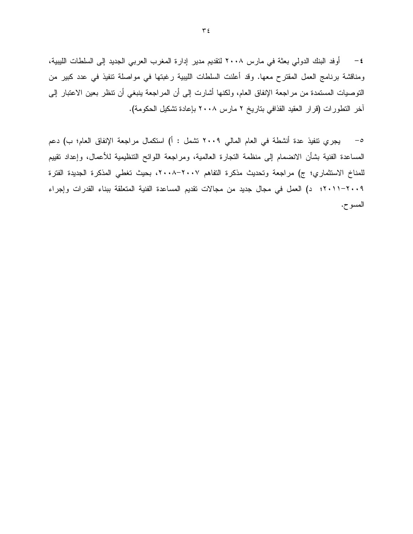ومناقشة برنامج العمل المقترح معها. وقد أعلنت السلطات الليبية رغبتها في مواصلة نتفيذ في عدد كبير من التوصيات المستمدة من مراجعة الإنفاق العام، ولكنها أشارت إلى أن المراجعة بنبغي أن نتظر بعين الاعتبار إلى أخر النطورات (قرار العقيد القذافي بتاريخ ٢ مارس ٢٠٠٨ بإعادة تشكيل الحكومة).

٥– يجرى نتفيذ عدة أنشطة في العام المالي ٢٠٠٩ نشمل : أ) استكمال مراجعة الإنفاق العام؛ ب) دعم المساعدة الفنية بشأن الانضمام إلى منظمة النجارة العالمية، ومراجعة اللوائح التنظيمية للأعمال، وإعداد نقييم للمناخ الاستثماري؛ ج) مراجعة وتحديث مذكرة التفاهم ٢٠٠٧-٢٠٠٨، بحيث تغطي المذكرة الجديدة الفترة ٢٠٠١-٢٠١١؟؛ د) العمل في مجال جديد من مجالات نقديم المساعدة الفنية المتعلقة ببناء القدرات وإجراء المسوح.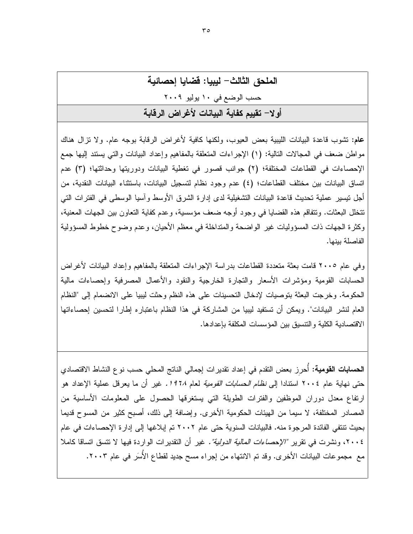عام: نَشوب قاعدة البيانات الليبية بعض العيوب، ولكنها كافية لأغراض الرقابة بوجه عام. ولا نزال هناك مواطن ضعف في المجالات التالية: (١) الإجراءات المتعلقة بالمفاهيم وإعداد البيانات والتي يستند إليها جمع الإحصاءات في القطاعات المختلفة؛ (٢) جوانب قصور في تغطية البيانات ودوريتها وحداثتها؛ (٣) عدم اتساق البيانات بين مختلف القطاعات؛ (٤) عدم وجود نظام لتسجيل البيانات، باستثناء البيانات النقدية، من أجل تيسير \_عملية تحديث قاعدة البيانات التشغيلية لدى إدار ة الشر ق الأوسط و آسيا الوسطى في الفتر ات التي نتخلل البعثات. ونتفاقم هذه القضايا في وجود أوجه ضعف مؤسسية، و عدم كفاية النعاون بين الجهات المعنية، وكثرة الجهات ذات المسؤوليات غير الواضحة والمتداخلة في معظم الأحيان، وعدم وضوح خطوط المسؤولية الفاصلة بينها.

وفي عام ٢٠٠٥ قامت بعثة متعددة القطاعات بدراسة الإجراءات المتعلقة بالمفاهيم وإعداد البيانات لأغراض الحسابات القومية ومؤشرات الأسعار والنجارة الخارجية والنقود والأعمال المصرفية وإحصاءات مالية الحكومة. وخرجت البعثة بتوصيات لإدخال التحسينات على هذه النظم وحثت ليبيا على الانضمام إلى "النظام العام لنشر البيانات". ويمكن أن تستفيد ليبيا من المشاركة في هذا النظام باعتباره إطارا لتحسين إحصاءاتها الاقتصادية الكلية والتتسيق بين المؤسسات المكلفة بإعدادها.

**الحسابات القومية:** أحرز بعض النقدم في إعداد نقديرات إجمالي الناتج المحلي حسب نو ع النشاط الاقتصادي حتى نهاية عام ٢٠٠٤ استنادا إلى *نظام الحسابات القومية* لعام *١٩٦٨.* غير أن ما يعرقل عملية الإعداد هو ارتفاع معدل دوران الموظفين والفترات الطويلة التي يستغرقها الحصول على المعلومات الأساسية من المصادر المختلفة، لا سيما من الهيئات الحكومية الأخرى. وإضافة إلى ذلك، أصبح كثير من المسوح قديما بحيث تنتفي الفائدة المرجوة منه. فالبيانات السنوية حتى عام ٢٠٠٢ تم إبلاغها إلى إدارة الإحصاءات في عام ٢٠٠٤، ونشرت في نقر بر "الإحصا*ءات المالية الدولية".* غير أن التقدير ات الوار دة فيها لا نتسق اتساقًا كاملا مع مجموعات البيانات الأخر ي. وقد تم الانتهاء من إجراء مسح جديد لقطاع الأسِّر في عام ٢٠٠٣.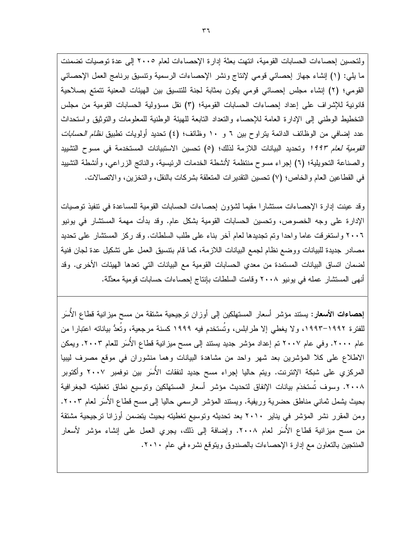ولتحسين إحصاءات الحسابات القومية، انتهت بعثة إدارة الإحصاءات لعام ٢٠٠٥ إلى عدة توصيات تضمنت ما يلي: (١) إنشاء جهاز إحصائي قومي لإنتاج ونشر الإحصاءات الرسمية ونتسيق برنامج العمل الإحصائي القومي؛ (٢) إنشاء مجلس إحصائي قومي يكون بمثابة لجنة للتتسيق بين الهيئات المعنية تتمتع بصلاحية قانونية للإشراف على إعداد إحصاءات الحسابات القومية؛ (٣) نقل مسؤولية الحسابات القومية من مجلس التخطيط الوطنبي إلىي الإدارة العامة للإحصاء والتعداد النابعة للهيئة الوطنية للمعلومات والتوثيق واستحداث عدد إضافي من الوظائف الدائمة بتراوح بين ٦ و ١٠ وظائف؛ (٤) تحديد أولويات تطبيق *نظام الحسابات* ا*لقومية لعام 199۳* وتحديد البيانات اللازمة لذلك؛ (٥) تحسين الاستبيانات المستخدمة في مسوح التشييد والصناعة التحويلية؛ (٦) إجراء مسوح منتظمة لأنشطة الخدمات الرئيسية، والناتج الزراعي، وأنشطة التشييد في القطاعين العام والخاص؛ (٧) تحسين التقديرات المتعلقة بشركات بالنقل، والتخزين، والاتصالات.

وقد عينت إدارة الإحصاءات مستشارًا مقيمًا لشؤون إحصاءات الحسابات القومية للمساعدة في تنفيذ توصيات الإدارة على وجه الخصوص، وتحسين الحسابات القومية بشكل عام. وقد بدأت مهمة المستشار في يونيو ٢٠٠٦ واستغرقت عاما واحدا وتم تجديدها لعام أخر بناء على طلب السلطات. وقد ركز المستشار على تحديد مصادر جديدة للبيانات ووضع نظام لجمع البيانات اللازمة، كما قام بنتسيق العمل على تشكيل عدة لجان فنية لضمان اتساق البيانات المستمدة من معدي الحسابات القومية مع البيانات التي تعدها الهيئات الأخرى. وقد أنهى المستشار عمله في يونيو ٢٠٠٨ وقامت السلطات بإنتاج إحصاءات حسابات قومية معدَّلة.

إ**حصاءات الأسعار:** يستند مؤشر أسعار المستهلكين إلى أوزان ترجيحية مشتقة من مسح ميزانية قطاع الأسَر للفترة ١٩٩٢–١٩٩٣، ولا يغطي إلا طرابلس، وتُستخدم فيه ١٩٩٩ كسنة مرجعية، وتُعدُّ بياناته اعتبارا من عام ٢٠٠٠. وفي عام ٢٠٠٧ تم إعداد مؤشر جديد يستند إلى مسح ميزانية قطاع الأُسَر للعام ٢٠٠٣. ويمكن الاطلاع على كلا المؤشرين بعد شهر واحد من مشاهدة البيانات وهما منشوران في موقع مصرف ليبيا المركزي على شبكة الإنترنت. ويتم حاليا إجراء مسح جديد لنفقات الأسَر بين نوفمبر ٢٠٠٧ وأكتوبر ٢٠٠٨. وسوف تُستخدَم بيانات الإنفاق لتحديث مؤشر أسعار المستهلكين وتوسيع نطاق تغطيته الجغرافية بحيث يشمل ثماني مناطق حضرية وريفية. ويستند المؤشر الرسمي حاليا إلى مسح قطاع الأُسَر لعام ٢٠٠٣. ومن المقرر نشر المؤشر في بناير ٢٠١٠ بعد تحديثه وتوسيع تغطيته بحيث يتضمن أوزانا ترجيحية مشتقة من مسح ميزانية قطاع الأسَر لعام ٢٠٠٨. وإضافة إلى ذلك، يجري العمل على إنشاء مؤشر لأسعار المنتجين بالتعاون مع إدارة الإحصاءات بالصندوق ويتوقع نشره في عام ٢٠١٠.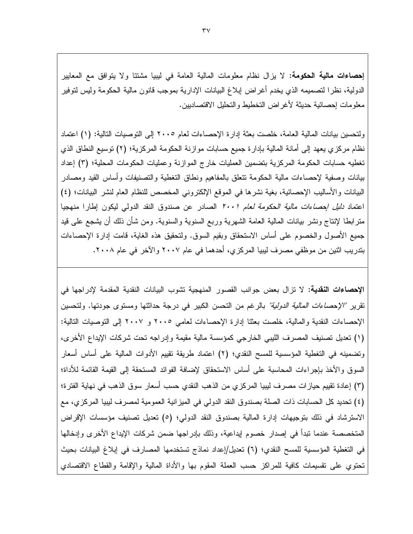إ**حصاءات مالية الحكومة:** لا يزال نظام معلومات المالية العامة في ليبيا مشتتا ولا يتوافق مع المعايير الدولية، نظرًا لتصميمه الذي يخدم أغراض إبلاغ البيانات الإدارية بموجب قانون مالية الحكومة وليس لتوفير معلومات إحصائية حديثة لأغراض التخطيط والتحليل الاقتصاديين.

ولتحسين بيانات المالية العامة، خلصت بعثة إدار ة الإحصاءات لعام ٢٠٠٥ إلى التوصيات التالية: (١) اعتماد نظام مركزي يعهد إلى أمانة المالية بإدارة جميع حسابات موازنة الحكومة المركزية؛ (٢) نوسيع النطاق الذي تغطيه حسابات الحكومة المركزية بتضمين العمليات خارج الموازنة وعمليات الحكومات المحلية؛ (٣) إعداد بيانات وصفية لإحصاءات مالية الحكومة نتعلق بالمفاهيم ونطاق التغطية والتصنيفات وأساس القيد ومصادر البيانات والأساليب الإحصائية، بغية نشرها في الموقع الإلكتروني المخصص للنظام العام لنشر البيانات؛ (٤) اعتماد *دليل إحصاءات مالية الحكومة لعام ٢٠٠١* الصادر عن صندوق النقد الدولمي ليكون إطارا منهجيا منز ابطا لإنتاج ونشر بيانات المالية العامة الشهرية وربع السنوية والسنوية. ومن شأن ذلك أن يشجع على قيد جميع الأصول والخصوم على أساس الاستحقاق وبقيم السوق. ولتحقيق هذه الغاية، قامت إدارة الإحصاءات بتدريب اثنين من موظفي مصرف ليبيا المركزي، أحدهما في عام ٢٠٠٧ والآخر في عام ٢٠٠٨.

الإحصاءات النقدية: لا نزال بعض جوانب القصور المنهجية نشوب البيانات النقدية المقدمة لإدراجها في نقرير *"الإحصاءات المالية الدولية"* بالرغم من التحسن الكبير في درجة حداثتها ومستوى جودتها. ولتحسين الإحصاءات النقدية والمالية، خلصت بعثنا إدارة الإحصاءات لعامي ٢٠٠٥ و ٢٠٠٧ إلى التوصيات التالية: (١) تعديل تصنيف المصرف الليبي الخارجي كمؤسسة مالية مقيمة وإدراجه تحت شركات الإيداع الأخرى، وتضمينه في التغطية المؤسسية للمسح النقدي؛ (٢) اعتماد طريقة نقييم الأدوات المالية على أساس أسعار السوق والأخذ بإجراءات المحاسبة على أساس الاستحقاق لإضافة الفوائد المستحقة إلى القيمة القائمة للأداة؛ (٣) إعادة تقييم حيازات مصرف ليبيا المركزي من الذهب النقدي حسب أسعار سوق الذهب في نهاية الفترة؛ (٤) تحديد كل الحسابات ذات الصلة بصندوق النقد الدولي في الميز انية العمومية لمصرف ليبيا المركزي، مع الاسترشاد في ذلك بتوجيهات إدارة المالية بصندوق النقد الدولي؛ (٥) تعديل تصنيف مؤسسات الإقراض المتخصصة عندما نبدأ في إصدار خصوم إيداعية، وذلك بإدراجها ضمن شركات الإيداع الأخرى وإدخالها في التغطية المؤسسية للمسح النقدي؛ (٦) تعديل/إعداد نماذج تستخدمها المصارف في إبلاغ البيانات بحيث تحتوي علىي نقسيمات كافية للمراكز حسب العملة المقوم بها والأداة المالية والإقامة والقطاع الاقتصادي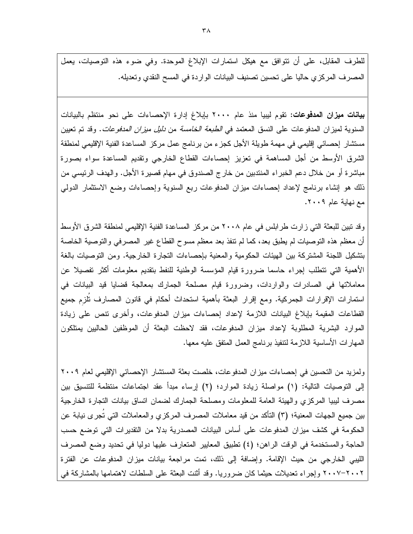للطرف المقابل، على أن نتوافق مع هيكل استمارات الإبلاغ الموحدة. وفي ضوء هذه التوصيات، يعمل المصرف المركزي حاليا على تحسين تصنيف البيانات الواردة في المسح النقدي وتعديله.

**بيانات ميزان المدفوعات:** تقوم ليبيا منذ عام ٢٠٠٠ بإبلاغ إدار ة الإحصاءات على نحو منتظم بالبيانات السنوية لميزان المدفوعات على النسق المعتمد ف*ي الطبعة الخامسة من دليل ميزان المدفوعات*. وقد تم تعيين مستشار إحصائي إقليمي في مهمة طويلة الأجل كجزء من برنامج عمل مركز المساعدة الفنية الإقليمي لمنطقة الشرق الأوسط من أجل المساهمة في تعزيز إحصاءات القطاع الخارجي وتقديم المساعدة سواء بصورة مباشرة أو من خلال دعم الخبراء المنتدبين من خار ج الصندوق في مهام قصيرة الأجل. والهدف الرئيسي من ذلك هو إنشاء برنامج لإعداد إحصاءات ميزان المدفوعات ربع السنوية وإحصاءات وضع الاستثمار الدولمي مع نهاية عام ٢٠٠٩.

وقد نبين للبعثة التي زارت طرابلس في عام ٢٠٠٨ من مركز المساعدة الفنية الإقليمي لمنطقة الشرق الأوسط أن معظم هذه التوصيات لم يطبق بعد، كما لم نتفذ بعد معظم مسوح القطاع غير المصرفي والتوصية الخاصة بتشكيل اللجنة المشتركة بين الهيئات الحكومية والمعنية بإحصاءات التجارة الخارجية. ومن التوصيات بالغة الأهمية التي نتطلب إجراء حاسما ضرورة قيام المؤسسة الوطنية للنفط بتقديم معلومات أكثر تفصيلا عن معاملاتها في الصادرات والواردات، وضرورة قيام مصلحة الجمارك بمعالجة قضايا قيد البيانات في استمارات الإقرارات الجمركية. ومع إقرار البعثة بأهمية استحداث أحكام في قانون المصارف نُلزم جميع القطاعات المقيمة بإبلاغ البيانات اللازمة لإعداد إحصاءات ميزان المدفوعات، وأخرى نتص على زيادة الموارد البشرية المطلوبة لإعداد ميزان المدفوعات، فقد لاحظت البعثة أن الموظفين الحاليين يمتلكون المهارات الأساسية اللازمة لتتفيذ برنامج العمل المتفق عليه معها.

ولمزيد من التحسين في إحصاءات ميزان المدفوعات، خلصت بعثة المستشار الإحصائي الإقليمي لعام ٢٠٠٩ إلى النوصيات التالية: (١) مواصلة زيادة الموارد؛ (٢) إرساء مبدأ عقد اجتماعات منتظمة للتتسيق بين مصرف ليبيا المركزي والهيئة العامة للمعلومات ومصلحة الجمارك لضمان انساق بيانات التجارة الخارجية بين جميع الجهات المعنية؛ (٣) النأكد من قيد معاملات المصرف المركزي والمعاملات التي تجرى نيابة عن الحكومة في كشف ميزان المدفوعات على أساس البيانات المصدرية بدلا من التقديرات التي توضع حسب الحاجة والمستخدمة في الوقت الراهن؛ (٤) تطبيق المعايير المتعارف عليها دوليا في تحديد وضع المصرف الليبي الخارجي من حيث الإقامة. وإضافة إلى ذلك، نمت مراجعة بيانات ميزان المدفوعات عن الفترة ٢٠٠٧–٢٠٠٧ وإجراء نعديلات حيثما كان ضروريا. وقد أنثت البعثة على السلطات لاهتمامها بالمشاركة في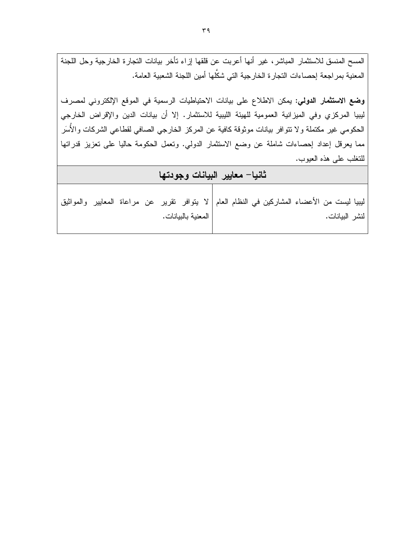المسح المنسق للاستثمار المباشر، غير أنها أعربت عن قلقها إزاء نأخر بيانات التجارة الخارجية وحل اللجنة المعنية بمراجعة إحصاءات التجارة الخارجية التي شكَّلها أمين اللجنة الشعبية العامة. **وضع الاستثمار الدولي:** يمكن الاطلاع على بيانات الاحتياطيات الرسمية في الموقع الإلكتروني لمصرف ليبيا المركزي وفي الميزانية العمومية للهيئة الليبية للاستثمار. إلا أن بيانات الدين والإقراض الخارجي الحكومي غير مكتملة ولا نتوافر بيانات موثوقة كافية عن المركز الخارجي الصافي لقطاعي الشركات والأسَر مما يعرقل إعداد إحصاءات شاملة عن وضع الاستثمار الدولي. ونعمل الحكومة حاليا على تعزيز قدراتها للنغلب على هذه العبوب. ثانيا– معايير البيانات وجودتها

|                      | ليبيا ليست من الأعضاء المشاركين في النظام العام   لا يتوافر  تقرير  عن  مراعاة  المعايير  والمواثيق |
|----------------------|-----------------------------------------------------------------------------------------------------|
| ا المعنية بالبيانات. | لنشر البيانات.                                                                                      |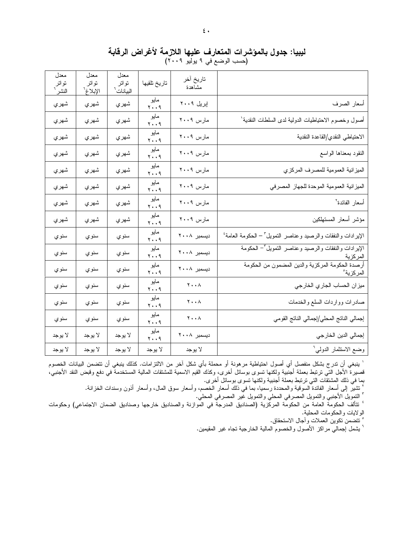ليبيا: جدول بالمؤشرات المتعارف عليها اللازمة لأغراض الرقابة (حسب الوضع ّفي ٩ يوليو ٢٠٠٩)

 $\mathfrak{c}$  .

|                                                                              | تاريخ أخر<br>مشاهدة                 | تاريخ تلقيها         | معدل<br>تواتر<br>البيانات <sup>ר</sup> | معدل<br>نو انز<br>الإبلاغ <sup>י</sup> | معدل<br>نواتر<br>النشر <sup>-</sup> |
|------------------------------------------------------------------------------|-------------------------------------|----------------------|----------------------------------------|----------------------------------------|-------------------------------------|
| أسعار الصرف                                                                  | إبريل ٢٠٠٩                          | مايو<br>۲۰۰۹         | شهري                                   | شهري                                   | شهري                                |
| أصول وخصوم الاحتياطيات الدولية لدى السلطات النقدية'                          | مارس ۲۰۰۹                           | مايو<br>۲۰۰۹         | شهري                                   | شهري                                   | شهري                                |
| الاحتياطي النقدي/القاعدة النقدية                                             | مارس ۲۰۰۹                           | مايو<br>۲۰۰۹         | شهري                                   | شهري                                   | شهري                                |
| النقود بمعناها الواسع                                                        | مارس ۲۰۰۹                           | مايو<br>۲۰۰۹         | شهري                                   | شهري                                   | شهري                                |
| الميزانية العمومية للمصرف المركزي                                            | مارس ۲۰۰۹                           | مايو<br>۲۰۰۹         | شهري                                   | شهري                                   | شهري                                |
| الميزانية العمومية الموحدة للجهاز المصرفي                                    | مارس ۲۰۰۹                           | مايو<br>۲۰۰۹         | شهري                                   | شهري                                   | شهري                                |
| أسعار الفائدة <sup>٢</sup>                                                   | مارس ۲۰۰۹                           | مايو<br>۲۰۰۹         | شهري                                   | شهري                                   | شهري                                |
| مؤشر أسعار المستهلكين                                                        | مارس ۲۰۰۹                           | مايو<br>۲۰۰۹         | شهري                                   | شهري                                   | شهري                                |
| الإيرادات والنفقات والرصيد وعناصر التمويل ّ – الحكومة العامة ٔ               | دیسمبر ۲۰۰۸                         | مايو<br>۲۰۰۹         | سنوي                                   | سنوي                                   | سنوي                                |
| الإيرادات والنفقات والرصيد وعناصر التمويل <sup>٣</sup> – الحكومة<br>المركزية | دیسمبر ۲۰۰۸                         | مايو<br>۲۰۰۹         | سنوي                                   | سنوي                                   | سنوي                                |
| أرصدة الحكومة المركزية والدين المضمون من الحكومة<br><u>المركزية°</u>         | دیسمبر ۲۰۰۸                         | مايو<br>۲۰۰۹         | سنوي                                   | سنوي                                   | سنوي                                |
| ميزان الحساب الجاري الخارجي                                                  | $\mathbf{y} \cdot \cdot \mathbf{y}$ | مايو<br>۲۰۰۹         | سنوي                                   | سنوي                                   | سنوي                                |
| صادرات وواردات السلع والخدمات                                                | $\mathbf{y} \cdot \cdot \mathbf{y}$ | مايو<br>۲۰۰۹         | سنوي                                   | سنوي                                   | سنوي                                |
| إجمالي الناتج المحلي/إجمالي الناتج القومي                                    | $\mathbf{y} \cdot \mathbf{y}$       | مايو<br>۲۰۰۹         | سنوي                                   | سنوي                                   | سنوي                                |
| إجمالي الدين الخارجي                                                         | ديسمبر ٢٠٠٨                         | مايو<br>$y \cdot .9$ | لا يوجد                                | لا يوجد                                | لا يوجد                             |
| وضع الاستثمار الدولي <sup>٬</sup>                                            | لا يوجد                             | لا يوجد              | لا يوجد                                | لا يوجد                                | لا يوجد                             |

' ينبغي أن تدرج بشكل منفصل أي أصول احتياطية مرهونة أو محملة بأي شكل آخر من الالتزامات. كذلك ينبغي أن تتضمن البيانات الخصوم قصيرة الأجل التّي نرتبط بعملة أجنّبية ولكنها تسوى بوسائل أخرى، وكذك القيم الاسمية للمشتقات المالية المستخدمة في دفع وقبض النقد الأجنبي، بما في ذلك المشتقَّات التي نرتبط بعملة أجنبية ولكنها نسوى بوسائل أخرى.

.<br>` تشير إلى أسعار الفائدة السوفية والمحددة رسميا، بما في ذلك أسعار الخصم، وأسعار سوق المال، وأسعار أذون وسندات الخزانة. " النمويلُ الأجنبيّ والنمويل المصرفي المحلّي والنمويل غير المصرفي المحلي.<br>"

' نتألف الحكومة العامة من الحكومة المركّزية (الصناديق المدرجة في الموازنة والصناديق خارجها وصناديق الضمان الاجتماعي) وحكومات الولايات والحكومات المحلية.

° تتضمن نكوين العملات وأجال الاستحقاق. <sup>7</sup> يشمل إجمالـي مراكز الأصول والخصوم المالية الخارجية نـجاه غير المقيمين.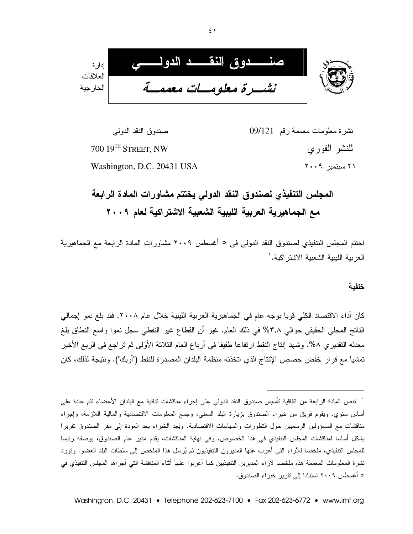

نشرة معلومات معممة رقم 09/121 صندوق النقد الدولي 700 19TH STREET, NW للنشر الفور ي  $Y \cdot .9$  سيتمبر ٢٠٠٩ Washington, D.C. 20431 USA

# المجلس التنفيذي لصندوق النقد الدولى يختتم مشاورات المادة الرابعة مع الجماهيرية العربية الليبية الشعبية الاشتراكية لعام ٢٠٠٩

اختتم المجلس التنفيذي لصندوق النقد الدولي في ٥ أغسطس ٢٠٠٩ مشاورات المادة الرابعة مع الجماهيرية العر بية اللببية الشعبية الاشتر اكية. `

#### خلفىة

كان أداء الاقتصاد الكلي قويا بوجه عام في الجماهيرية العربية الليبية خلال عام ٢٠٠٨. فقد بلغ نمو إجمالي الناتج المحلَّى الحقيقي حوالي ٣,٨% في ذلك العام. غير أن القطاع غير النفطي سجل نموا واسع النطاق بلغ معدله النقديري ٨%. وشهد إنتاج النفط ارتفاعا طفيفا في أرباع العام الثلاثة الأولىي ثم نراجع في الربع الأخير تمشيا مع قرار خفض حصص الإنتاج الذي اتخذته منظمة البلدان المصدرة للنفط ("أوبك"). ونتيجة لذلك، كان

<sup>`</sup> تنص المادة الرابعة من اتفاقية تأسيس صندوق النقد الدولمي على إجراء مناقشات ثنائية مع البلدان الأعضاء تتم عادة على أساس سنوي. ويقوم فريق من خبراء الصندوق بزيارة البلد المعنى، وجمع المعلومات الاقتصادية والمالية اللازمة، وإجراء مناقشات مع المسؤولين الرسميين حول النطورات والسياسات الاقتصادية. ويُعِد الخبراء بعد العودة إلى مقر الصندوق تقريرا يشكل أساسا لمناقشات المجلس التتفيذي في هذا الخصوص. وفي نهاية المناقشات، يقدم مدير عام الصندوق، بوصفه رئيسا للمجلس التنفيذي، ملخصـا للأراء التـى أعرب عنـها المديرون التنفيذيون ثم يُرسَل هذا الملخص إلى سلطات البلد العضو. وتورد نشرة المعلومات المعممة هذه ملخصا لأراء المديرين التتفيذيين كما أعربوا عنها أثناء المناقشة التي أجراها المجلس التتفيذي في ٥ أغسطس ٢٠٠٩ استنادا إلى تقرير خبراء الصندوق.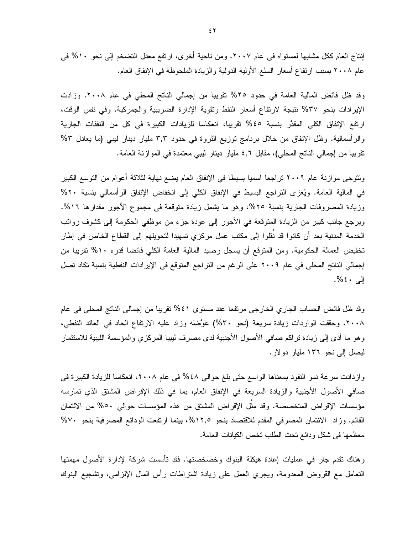إنتاج العام ككل مشابها لمستواه في عام ٢٠٠٧. ومن ناحية أخرى، ارتفع معدل التضخم إلى نحو ١٠% في عام ٢٠٠٨ بسبب ارتفاع أسعار السلع الأولية الدولية والزيادة الملحوظة في الإنفاق العام.

وقد ظل فائض المالية العامة في حدود ٢٥% تقريبا من إجمالي الناتج المحلي في عام ٢٠٠٨. وزادت الإيرادات بنحو ٣٧% نتيجة لارتفاع أسعار النفط وتقوية الإدارة الضريبية والجمركية. وفي نفس الوقت، ارتفع الإنفاق الكلِّي المقدَّر بنسبة ٤٥% تقريبا، انعكاسا للزيادات الكبيرة في كل من النفقات الجارية والرأسمالية. وظل الإنفاق من خلال برنامج توزيع الثروة في حدود ٣,٣ مليار دينار ليبي (ما يعادل ٣% تقريبا من إجمالي الناتج المحلي)، مقابل 1, ٤ مليار دينار ليبي معتمدة في الموازنة العامة.

وتتوخى موازنة عام ٢٠٠٩ تراجعا اسميا بسيطا في الإنفاق العام يضع نهاية لثلاثة أعوام من التوسع الكبير في المالية العامة. ويُعزى التراجع البسيط في الإنفاق الكلي إلى انخفاض الإنفاق الرأسمالي بنسبة ٢٠% وزيادة المصروفات الجارية بنسبة ٢٥%، وهو ما يشمل زيادة متوقعة في مجموع الأجور مقدارها ١٦%. ويرجع جانب كبير من الزيادة المتوقعة في الأجور إلى عودة جزء من موظفي الحكومة إلى كشوف روانب الخدمة المدنية بعد أن كانوا قد نُقلوا إلى مكتب عمل مركزي تمهيدا لتحويلهم إلى القطاع الخاص في إطار تخفيض العمالة الحكومية. ومن المتوقع أن يسجل رصيد المالية العامة الكلي فائضا قدره ١٠% نقريبا من إجمالي الناتج المحلي في عام ٢٠٠٩ على الرغم من التراجع المتوقع في الإيرادات النفطية بنسبة تكاد تصل إلى ٤٠%.

وقد ظل فائض الحساب الجاري الخارجي مرتفعا عند مستوى ٤١% نقريبا من إجمالي الناتج المحلي في عام ٢٠٠٨. وحققت الواردات زيادة سريعة (نحو ٣٠%) عَوَّضَه وزاد عليه الارتفاع الحاد في العائد النفطي، وهو ما أدى إلى زيادة نراكم صافى الأصول الأجنبية لدى مصرف ليبيا المركزي والمؤسسة الليبية للاستثمار ليصل إلى نحو ١٣٦ مليار دولار.

وازدادت سرعة نمو النقود بمعناها الواسع حتى بلغ حوالي ٤٨% في عام ٢٠٠٨، انعكاسا للزيادة الكبيرة في صافي الأصول الأجنبية والزيادة السريعة في الإنفاق العام، بما في ذلك الإقراض المشتق الذي تمارسه مؤسسات الإقراض المتخصصة. وقد مثل الإقراض المشتق من هذه المؤسسات حوالي ٥٠% من الائتمان القائم. وزاد الائتمان المصرفي المقدم للاقتصاد بنحو ١٢,٥%، بينما ارتفعت الودائع المصرفية بنحو ٧٠% معظمها في شكل ودائع نحت الطلب تخص الكيانات العامة.

و هناك نقدم جار في عمليات إعادة هيكلة البنوك و خصـخصـتها. فقد تأسست شر كة لإدار ة الأصـول مـهمتها النعامل مع القروض المعدومة، ويجرى العمل على زيادة اشتراطات رأس المال الإلزامي، وتشجيع البنوك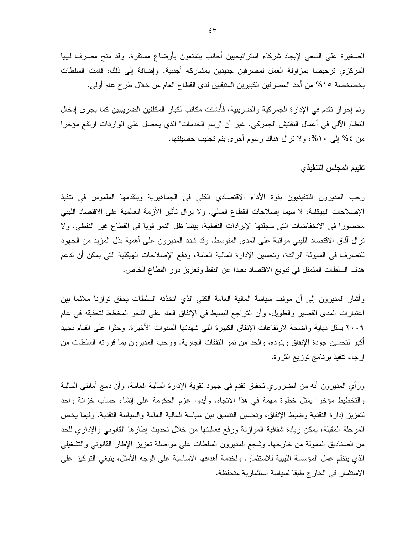الصغير ة على السعى لإيجاد شركاء استر اتيجيين أجانب يتمتعون بأوضاع مستقر ة. وقد منح مصر ف ليبيا المركزي ترخيصا بمزاولة العمل لمصرفين جديدين بمشاركة أجنبية. وإضافة إلى ذلك، قامت السلطات بخصخصة ١٥% من أحد المصرفين الكبيرين المتبقيين لدى القطاع العام من خلال طرح عام أولى.

وتم إحر إن تقدم في الإدار ة الجمر كية و الضر ببية، فأُنشئت مكاتب لكبار المكلفين الضر بببين كما يجر ي إدخال النظام الآلي في أعمال التفتيش الجمركي. غير أن "رسم الخدمات" الذي يحصل على الواردات ارتفع مؤخرا من ٤% إلى ١٠%، ولا نزال هناك رسوم أخرى بتم تجنيب حصيلتها.

#### تقييم المجلس التنفيذي

رحب المديرون التتفيذيون بقوة الأداء الاقتصادي الكلى في الجماهيرية وبتقدمها الملموس في تتفيذ الإصلاحات الهيكلية، لا سيما إصلاحات القطاع المالي. ولا يزال نأثير الأزمة العالمية على الاقتصاد الليبي محصورا في الانخفاضات التي سجلتها الإيرادات النفطية، بينما ظل النمو قويا في القطاع غير النفطي. ولا نزال أفاق الاقتصاد الليبي موانية على المدى المنوسط. وقد شدد المديرون على أهمية بذل المزيد من الجهود للنصرف في السيولة الزائدة، وتحسين الإدارة المالية العامة، ودفع الإصلاحات الهيكلية التي يمكن أن ندعم هدف السلطات المتمثل في نتويع الاقتصاد بعيدا عن النفط وتعزيز دور القطاع الخاص.

وأشار المديرون إلى أن موقف سياسة المالية العامة الكلي الذي اتخذته السلطات يحقق توازنا ملائما بين اعتبارات المدى القصير والطويل، وأن التراجع البسيط في الإنفاق العام على النحو المخطط لتحقيقه في عام ٢٠٠٩ يمثل نهاية واضحة لارتفاعات الإنفاق الكبيرة التي شهدتها السنوات الأخيرة. وحثوا على القيام بجهد أكبر لتحسين جودة الإنفاق وبنوده، والحد من نمو النفقات الجارية. ورحب المديرون بما قررته السلطات من إرجاء نتفيذ برنامج نوزيع الثروة.

ورأي المديرون أنه من الضروري نحقيق نقدم في جهود نقوية الإدارة المالية العامة، وأن دمج أمانتـي المالية والتخطيط مؤخرًا بِمثل خطوة مهمة في هذا الاتجاه. وأيدوا عزم الحكومة على إنشاء حساب خزانة واحد لتعزيز إدارة النقدية وضبط الإنفاق، وتحسين النتسيق بين سياسة المالية العامة والسياسة النقدية. وفيما يخص المرحلة المقبلة، يمكن زيادة شفافية الموازنة ورفع فعاليتها من خلال نحديث إطارها القانوني والإداري للحد من الصناديق الممولة من خارجها. وشجع المديرون السلطات على مواصلة نعزيز الإطار القانوني والتشغيلي الذي ينظم عمل المؤسسة الليبية للاستثمار . ولخدمة أهدافها الأساسية على الوجه الأمثل، ينبغي التركيز على الاستثمار في الخارج طبقا لسياسة استثمارية متحفظة.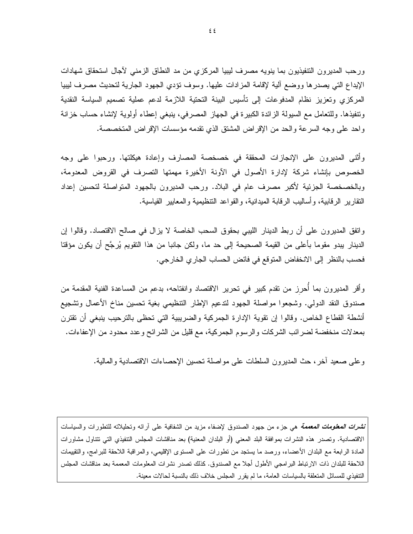ورحب المديرون التتفيذيون بما ينويه مصرف ليبيا المركزي من مد النطاق الزمني لآجال استحقاق شهادات الإيداع التي يصدرها ووضع ألية لإقامة المزادات عليها. وسوف نؤدي الجهود الجارية لتحديث مصرف ليبيا المركزي وتعزيز نظام المدفوعات إلى تأسيس البينة التحتية اللازمة لدعم عملية تصميم السياسة النقدية ونتفيذها. وللتعامل مع السيولة الزائدة الكبيرة في الجهاز المصرفي، ينبغي إعطاء أولوية لإنشاء حساب خزانة واحد على وجه السرعة والحد من الإقراض المشتق الذي نقدمه مؤسسات الإقراض المتخصصة.

وأثنى المديرون على الإنجازات المحققة في خصخصة المصارف وإعادة هيكلتها. ورحبوا على وجه الخصوص بإنشاء شركة لإدارة الأصول في الآونة الأخيرة مهمتها التصرف في القروض المعدومة، وبالخصخصة الجزئية لأكبر مصرف عام في البلاد. ورحب المديرون بالجهود المتواصلة لتحسين إعداد النقارير الرقابية، وأساليب الرقابة الميدانية، والقواعد النتظيمية والمعابير القياسية.

واتفق المديرون على أن ربط الدينار الليبي بحقوق السحب الخاصة لا يزال في صالح الاقتصاد. وقالوا إن الدينار يبدو مقوما بأعلى من القيمة الصحيحة إلى حد ما، ولكن جانبا من هذا النقويم يُرجَّح أن يكون مؤقتا فحسب بالنظر إلى الانخفاض المتوقع في فائض الحساب الجاري الخارجي.

وأقر المديرون بما أحرز من نقدم كبير في تحرير الاقتصاد وانفتاحه، بدعم من المساعدة الفنية المقدمة من صندوق النقد الدولي. وشجعوا مواصلة الجهود لندعيم الإطار التنظيمي بغية نحسين مناخ الأعمال ونشجيع أنشطة القطاع الخاص. وقالوا إن نقوية الإدارة الجمركية والضريبية التي تحظى بالترحيب ينبغي أن تقترن بمعدلات منخفضة لضرائب الشركات والرسوم الجمركية، مع قليل من الشرائح وعدد محدود من الإعفاءات.

وعلى صعيد أخر، حث المديرون السلطات على مواصلة نحسين الإحصاءات الاقتصادية والمالية.

*نشرات المعلومات المعممة* هي جزء من جهود الصندوق لإضفاء مزيد من الشفافية على أرائه وتحليلاته للتطورات والسياسات الاقتصادية. وتصدر هذه النشرات بموافقة البلد المعنى (أو البلدان المعنية) بعد مناقشات المجلس التتفيذي التي تتتاول مشاورات المادة الرابعة مع البلدان الأعضاء، ورصد ما يستجد من نطورات على المسنوى الإقليمي، والمراقبة اللاحقة للبرامج، والنقييمات اللاحقة للبلدان ذات الارتباط البرامجي الأطول أجلا مع الصندوق. كذلك نصدر نشرات المعلومات المعممة بعد مناقشات المجلس التنفيذي للمسائل المنعلقة بالسياسات العامة، ما لم يقرر المجلس خلاف ذلك بالنسبة لحالات معينة.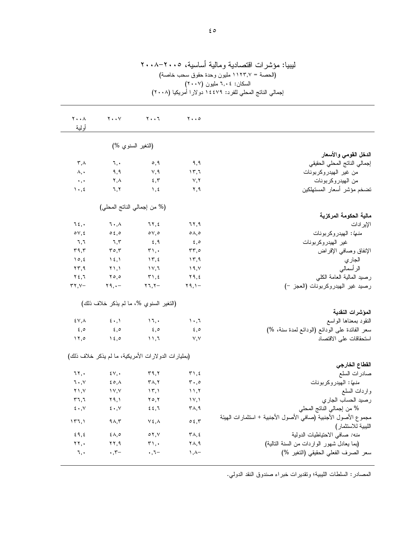| نيبيا. موسر اب المصبانية ومانية اساسية، ١٠٠٠ ١٠٠٠<br>(الحصة = ١١٢٣,٧ مليون وحدة حقوق سحب خاصة)<br>السكان: ٢,٠٤ مليون (٢٠٠٧)<br>إجمالي الناتج المحلي للفرد: ١٤٤٧٩ دولارا أمريكيا (٢٠٠٨) |                                     |                                                     |                                            |                                                                                      |  |  |  |  |
|----------------------------------------------------------------------------------------------------------------------------------------------------------------------------------------|-------------------------------------|-----------------------------------------------------|--------------------------------------------|--------------------------------------------------------------------------------------|--|--|--|--|
| $\mathbf{Y} \cdot \cdot \mathbf{A}$<br>أولية                                                                                                                                           | $\mathbf{y} \cdot \mathbf{y}$       | $Y \cdot \cdot 7$                                   | $\mathbf{y} \cdot \mathbf{0}$              |                                                                                      |  |  |  |  |
|                                                                                                                                                                                        | (النغبر السنوي %)                   |                                                     |                                            |                                                                                      |  |  |  |  |
|                                                                                                                                                                                        |                                     |                                                     |                                            | الدخل القومي والأسعار                                                                |  |  |  |  |
| $\mathsf{r}$ , $\wedge$                                                                                                                                                                | ٦,٠                                 | ٥,٩                                                 | ۹,۹                                        | إجمالي الناتج المحلى الحقيقى                                                         |  |  |  |  |
| ۸,٠                                                                                                                                                                                    | ۹,۹                                 | ٧,٩                                                 | $\gamma$ , $\gamma$                        | من غير الهيدروكربونات                                                                |  |  |  |  |
| $\star$ , $\star$                                                                                                                                                                      | ۲,۸                                 | 5,5                                                 | $\vee, \vee$                               | من الهيدروكربونات                                                                    |  |  |  |  |
| $\mathcal{N}$ , $\mathcal{L}$                                                                                                                                                          | ٦,٢                                 | $\lambda$ , $\epsilon$                              | ۲,۹                                        | تضخم مؤشر أسعار المستهلكين                                                           |  |  |  |  |
|                                                                                                                                                                                        | (% من إجمالي الناتج المحلي)         |                                                     |                                            |                                                                                      |  |  |  |  |
|                                                                                                                                                                                        |                                     |                                                     |                                            | مالية الحكومة المركزية                                                               |  |  |  |  |
| ٦٤,٠                                                                                                                                                                                   | ٦.,٨                                | ۲۲,٤                                                | ٦٢,٩                                       | الإير ادات                                                                           |  |  |  |  |
| $\circ \vee, \epsilon$                                                                                                                                                                 | 0.5,0                               | $\circ$ $\vee$ , $\circ$                            | $\circ \wedge, \circ$                      | <i>منها</i> : الهيدروكربونات                                                         |  |  |  |  |
| ٦,٦                                                                                                                                                                                    | ٦,٣                                 | $\epsilon, \eta$                                    | ه, ٤                                       | غير الهيدروكربونات                                                                   |  |  |  |  |
| 59,5                                                                                                                                                                                   | $\mathbf{r} \circ \mathbf{r}$       | $\mathbf{r}$ ,.                                     | $rr, \circ$                                | الإنفاق وصافى الإقراض                                                                |  |  |  |  |
| 10, 2                                                                                                                                                                                  | $\lambda \xi, \lambda$              | $\gamma$ $\tau$ , $\epsilon$                        | $\gamma$ ۳,۹                               | الجار ي                                                                              |  |  |  |  |
| ۲۳,۹                                                                                                                                                                                   | $\lambda$ , $\lambda$               | ۱۷,٦                                                | ١٩,٧                                       | الر أسمالي                                                                           |  |  |  |  |
| $Y \xi, I$                                                                                                                                                                             | $\mathbf{y} \circ \mathbf{z}$       | $\tau$ ), $\epsilon$                                | ۲۹,٤                                       | رصيد المالية العامة الكلى                                                            |  |  |  |  |
| $\tau\tau, \nu-$                                                                                                                                                                       | $Y_1, -$                            | $\mathbf{Y} \mathbf{1}, \mathbf{Y} -$               | $Y$ 9, $Y -$                               | رصيد غير الهيدروكربونات (العجز -)                                                    |  |  |  |  |
|                                                                                                                                                                                        |                                     | (التغير السنوي %، ما لم يذكر خلاف ذلك)              |                                            | المؤشرات النقدية                                                                     |  |  |  |  |
| ٤٧,٨                                                                                                                                                                                   | $\epsilon \cdot, \mathcal{N}$       | $\mathcal{N}$                                       | $\cdots$                                   | النقود بمعناها الواسع                                                                |  |  |  |  |
| $\epsilon, \circ$                                                                                                                                                                      | $\epsilon, \circ$                   | $\epsilon, \circ$                                   | ه, ٤                                       | سعر الفائدة على الودائع (الودائع لمدة سنة، %)                                        |  |  |  |  |
| $\lambda$                                                                                                                                                                              | $\lambda \xi, \circ$                | $\mathcal{N}, \mathcal{N}$                          | V, V                                       | استحقاقات على الاقتصاد                                                               |  |  |  |  |
|                                                                                                                                                                                        |                                     | (بمليارات الدولارات الأمريكية، ما لم يذكر خلاف ذلك) |                                            | القطاع الخارجي                                                                       |  |  |  |  |
| ٦٢,٠                                                                                                                                                                                   | $\mathfrak{z}_v$ , .                | ۳۹,۲                                                | $\mathbf{r}$ , $\epsilon$                  | صادرات السلع                                                                         |  |  |  |  |
| $\mathbf{1} \bullet, \mathbf{V}$                                                                                                                                                       | ٤٥,٨                                | $\mathbf{r} \wedge, \mathbf{r}$                     | $\mathbf{r} \cdot \mathbf{0}$              | <i>منها</i> : الهيدروكربونات                                                         |  |  |  |  |
| $Y \setminus V$                                                                                                                                                                        | $\gamma \gamma$                     | $\langle \nabla, \nabla \rangle$                    | $\rightarrow$ ، $\uparrow$                 | واردات السلع                                                                         |  |  |  |  |
| $r_{7,7}$                                                                                                                                                                              | ۲۹,۱                                | $Y \circ Y$                                         | $\lambda V, \lambda$                       | رصيد الحساب الجاري                                                                   |  |  |  |  |
| $\epsilon \cdot$ , $\vee$                                                                                                                                                              | $\epsilon \cdot$ , $\vee$           | 22,7                                                | $\mathsf{r}_{\mathsf{\Lambda},\mathsf{q}}$ | % من إجمالي الناتج المحلي                                                            |  |  |  |  |
| ۱۳٦,۱                                                                                                                                                                                  | 9A,7                                | $Y \xi, \Lambda$                                    | $\circ$ {, $\mathsf{r}$                    | مجموع الأصول الأجنبية (صافي الأصول الأجنبية + استثمارات الهيئة<br>الليبية للاستثمار) |  |  |  |  |
| 59,5                                                                                                                                                                                   | $\xi \wedge, \circ$                 | $\circ$ $\vee$ , $\vee$                             | ۳۸,٤                                       | منه: صافى الاحتياطيات الدولية                                                        |  |  |  |  |
| $\mathbf{y}, \mathbf{y}$                                                                                                                                                               | $\mathbf{Y} \mathbf{Y}, \mathbf{Y}$ | $\mathbf{r}_{1}$ ,                                  | ۲۸,۹                                       | (بما يعادل شهور الواردات من السنة التالية)                                           |  |  |  |  |
| ٦,٠                                                                                                                                                                                    | $\cdot$ , $\tau-$                   | $\cdot$ , ٦ $-$                                     | −۸, ۱                                      | سعر الصرف الفعلي الحقيقي (التغير %)                                                  |  |  |  |  |
|                                                                                                                                                                                        |                                     |                                                     |                                            |                                                                                      |  |  |  |  |

ليبيا: مؤشرات اقتصادية ومالية أساسية، ٢٠٠٥–٢٠٠٨

المصـادر : السلطات الليبية؛ ونقدير ات خبر اء صندوق النقد الدولـي.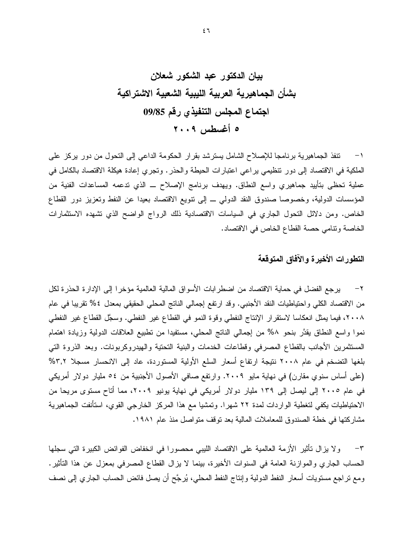١− تنفذ الجماهيرية برنامجا للإصلاح الشامل يسترشد بقرار الحكومة الداعبي إلى التحول من دور يركز على الملكية في الاقتصاد إلى دور نتظيمي براعي اعتبارات الحيطة والحذر . وتجرى إعادة هيكلة الاقتصاد بالكامل في عملية تحظي بتأبيد جماهيري واسع النطاق. ويهدف برنامج الإصلاح \_ الذي تدعمه المساعدات الفنية من المؤسسات الدولية، وخصوصا صندوق النقد الدولمي ــ إلى نتويع الاقتصاد بعيدا عن النفط وتعزيز دور القطاع الخاص. ومن دلائل النحول الجاري في السياسات الاقتصادية ذلك الرواج الواضح الذي تشهده الاستثمارات الخاصة ونتامي حصة القطاع الخاص في الاقتصاد.

### التطورات الأخيرة والآفاق المتوقعة

٢– يرجع الفضل في حماية الاقتصاد من اضطرابات الأسواق المالية العالمية مؤخرا إلى الإدارة الحذرة لكل من الاقتصاد الكلَّى واحتياطيات النقد الأجنبي. وقد ارتفع إجمالي الناتج المحلِّي الحقيقي بمعدل ٤% تقريبا في عام ٢٠٠٨، فيما يمثل انعكاسا لاستقرار الإنتاج النفطي وقوة النمو في القطاع غير النفطي. وسجَّل القطاع غير النفطي نموا واسع النطاق يقدَّر بنحو ٨% من إجمالي الناتج المحلي، مستفيدا من نطبيع العلاقات الدولية وزيادة اهتمام المستثمرين الأجانب بالقطاع المصرفى وقطاعات الخدمات والبنية التحتية والهيدروكربونات. وبعد الذروة التي بلغها التضخم في عام ٢٠٠٨ نتيجة ارتفاع أسعار السلع الأولية المستوردة، عاد إلى الانحسار مسجلا ٣,٢% (على أساس سنوى مقارن) في نهاية مايو ٢٠٠٩. وارتفع صافي الأصول الأجنبية من ٥٤ مليار دولار أمريكي في عام ٢٠٠٥ إلى ليصل إلى ١٣٩ مليار دولار أمريكي في نهاية يونيو ٢٠٠٩، مما أتاح مستوى مريحا من الاحتياطيات يكفي لتغطية الواردات لمدة ٢٢ شهرًا. وتمشيا مع هذا المركز الخارجي القوي، استأنفت الجماهيرية مشاركتها في خطة الصندوق للمعاملات المالية بعد توقف متواصل منذ عام ١٩٨١.

ولا يزال نأثير الأزمة العالمية على الاقتصاد الليبي محصورا في انخفاض الفوائض الكبيرة التي سجلها  $-\tau$ الـحساب الـجاري والمـوازنـة الـعامـة فـي السنوات الأخيرة، بينمـا لا يزال القطـاع المصـرفـي بمعزل عن هذا التأثير . ومع تراجع مستويات أسعار النفط الدولية وإنتاج النفط المحلي، يُرجَّح أن يصل فائض الحساب الجاري إلى نصف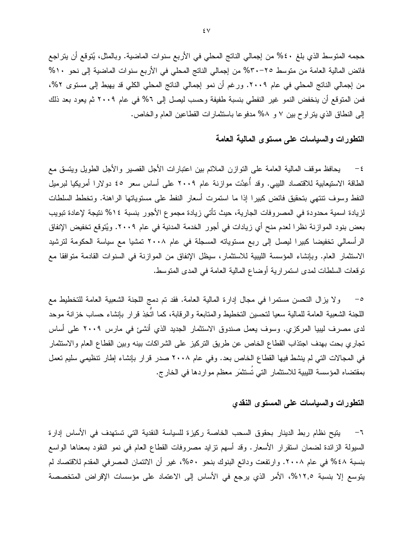حجمه المتوسط الذي بلغ ٤٠% من إجمالي الناتج المحلي في الأربع سنوات الماضية. وبالمثل، يُتوقع أن يتراجع فائض المالية العامة من متوسط ٢٥-٣٠% من إجمالي الناتج المحلي في الأربع سنوات الماضية إلى نحو ١٠% من إجمالي الناتج المحلي في عام ٢٠٠٩. ورغم أن نمو إجمالي الناتج المحلي الكلي قد يهبط إلى مستوى ٢%، فمن المتوقع أن ينخفض النمو غير النفطي بنسبة طفيفة وحسب ليصل إلى 7% في عام ٢٠٠٩ ثم يعود بعد ذلك إلى النطاق الذي يتراوح بين ٧ و ٥٨% مدفوعا باستثمارات القطاعين العام والخاص.

#### التطورات والسباسات على مستوى المالية العامة

يحافظ موقف المالية العامة على التوازن الملائم بين اعتبارات الأجل القصير والأجل الطويل ويتسق مع الطاقة الاستيعابية للاقتصاد الليبي. وقد أُعِدَّت موازنة عام ٢٠٠٩ على أساس سعر ٤٥ دولارا أمريكيا لبرميل النفط وسوف تنتهي بتحقيق فائض كبيرا إذا ما استمرت أسعار النفط على مستوياتها الراهنة. وتخطط السلطات لزيادة اسمية محدودة في المصروفات الجارية، حيث تأتي زيادة مجموع الأجور بنسبة ١٤% نتيجة لإعادة تبويب بعض بنود الموازنة نظرا لعدم منح أي زيادات في أجور الخدمة المدنية في عام ٢٠٠٩. ويُتوقع تخفيض الإنفاق الرأسمالي تخفيضا كبيرا ليصل إلى ربع مستوياته المسجلة في عام ٢٠٠٨ تمشيا مع سياسة الحكومة لترشيد الاستثمار العام. وبإنشاء المؤسسة الليبية للاستثمار، سيظل الإنفاق من الموازنة في السنوات القادمة متوافقا مع نوفعات السلطات لمدى استمر ارية أوضاع المالية العامة في المدى المتوسط.

ولا يزال التحسن مستمرًا في مجال إدارة المالية العامة. فقد تم دمج اللجنة الشعبية العامة للتخطيط مع  $-\circ$ اللجنة الشعبية العامة للمالية سعيا لنحسين التخطيط والمتابعة والرقابة، كما اتَّخِذ قرار بإنشاء حساب خزانة موحد لدى مصرف ليبيا المركزي. وسوف يعمل صندوق الاستثمار الجديد الذي أنشئ في مارس ٢٠٠٩ على أساس تجاري بحت بهدف اجتذاب القطاع الخاص عن طريق التركيز على الشراكات بينه وبين القطاع العام والاستثمار في المجالات التي لم ينشط فيها القطاع الخاص بعد. وفي عام ٢٠٠٨ صدر قرار بإنشاء إطار نتظيمي سليم نعمل بمقتضاه المؤسسة الليبية للاستثمار التي تُستثمَر معظم مواردها في الخارج.

#### التطورات والسياسات على المستوى النقدي

يتيح نظام ربط الدينار بحقوق السحب الخاصة ركيزة للسياسة النقدية التي تستهدف في الأساس إدارة  $-7$ السيولة الزائدة لضمان استقرار الأسعار. وقد أسهم نزايد مصروفات القطاع العام في نمو النقود بمعناها الواسع بنسبة ٤٨% في عام ٢٠٠٨. وارتفعت ودائع البنوك بنحو ٥٠%، غيرٍ أن الائتمان المصرفي المقدم للاقتصاد لم يتوسع إلا بنسبة ١٢,٥%، الأمر الذي يرجع في الأساس إلى الاعتماد على مؤسسات الإقراض المتخصصة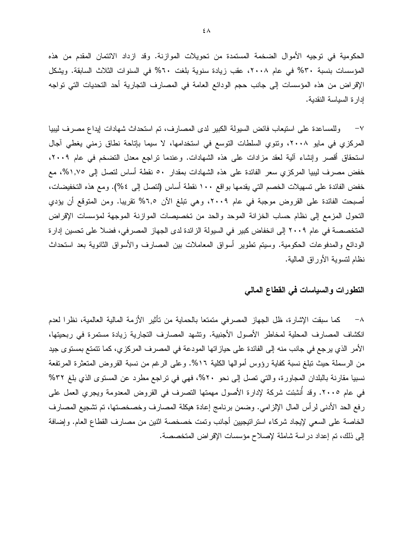الحكومية في توجيه الأموال الضخمة المستمدة من تحويلات الموازنة. وقد ازداد الائتمان المقدم من هذه المؤسسات بنسبة ٣٠% في عام ٢٠٠٨، عقب زيادة سنوية بلغت ٦٠% في السنوات الثلاث السابقة. ويشكل الإقراض من هذه المؤسسات إلى جانب حجم الودائع العامة في المصارف التجارية أحد التحديات التي تواجه إدار ة السياسة النقدية.

٧– وللمساعدة على استيعاب فائض السيولة الكبير لدى المصارف، تم استحداث شهادات إيداع مصرف ليبيا المركزي في مايو ٢٠٠٨، وتتوي السلطات التوسع في استخدامها، لا سيما بإتاحة نطاق زمني يغطي أجال استحقاق أقصر وإنشاء آلية لعقد مزادات على هذه الشهادات. وعندما نراجع معدل التضخم في عام ٢٠٠٩، خفض مصرف ليبيا المركزي سعر الفائدة على هذه الشهادات بمقدار ٥٠ نقطة أساس لتصل إلى ١,٧٥%، مع خفض الفائدة على تسهيلات الخصم التي يقدمها بواقع ١٠٠ نقطة أساس (لتصل إلى ٤%). ومع هذه التخفيضات، أصبحت الفائدة على القروض موجبة في عام ٢٠٠٩، وهي نبلغ الآن ٦,٥% نقريبا. ومن المتوقع أن يؤدي التحول المزمع إلى نظام حساب الخزانة الموحد والحد من تخصيصات الموازنة الموجهة لمؤسسات الإقراض المتخصصة في عام ٢٠٠٩ إلى انخفاض كبير في السيولة الزائدة لدى الجهاز المصرفي، فضلا على تحسين إدارة الودائع والمدفوعات الحكومية. وسيتم تطوير أسواق المعاملات بين المصارف والأسواق الثانوية بعد استحداث نظام لنسوية الأوراق المالية.

### التطورات والسباسات فى القطاع المالى

كما سبقت الإشارة، ظل الجهاز المصرفي متمتعا بالحماية من تأثير الأزمة المالية العالمية، نظرا لعدم  $-\lambda$ انكشاف المصارف المحلية لمخاطر الأصول الأجنبية. وتشهد المصارف التجارية زيادة مستمرة في ربحيتها، الأمر الذي يرجع في جانب منه إلى الفائدة على حياز اتها المودعة في المصرف المركزي، كما نتمتع بمستوى جيد من الرسملة حيث نبلغ نسبة كفاية رؤوس أموالها الكلية ١٦%. وعلى الرغم من نسبة القروض المتعثرة المرتفعة نسبيا مقارنة بالبلدان المجاورة، والتي نصل إلى نحو ٢٠%، فهي في نراجع مطرد عن المستوى الذي بلغ ٣٢% في عام ٢٠٠٥. وقد أُنشِئت شركة لإدارة الأصول مهمتها التصرف في القروض المعدومة ويجري العمل على رفع الحد الأدنى لرأس المال الإلزامي. وضمن برنامج إعادة هيكلة المصارف وخصخصتها، تم تشجيع المصارف الخاصة على السعى لإيجاد شركاء استراتيجيين أجانب وتمت خصخصة اثنين من مصارف القطاع العام. وإضافة إلى ذلك، تم إعداد در اسة شاملة لإصلاح مؤسسات الإقراض المتخصصة.